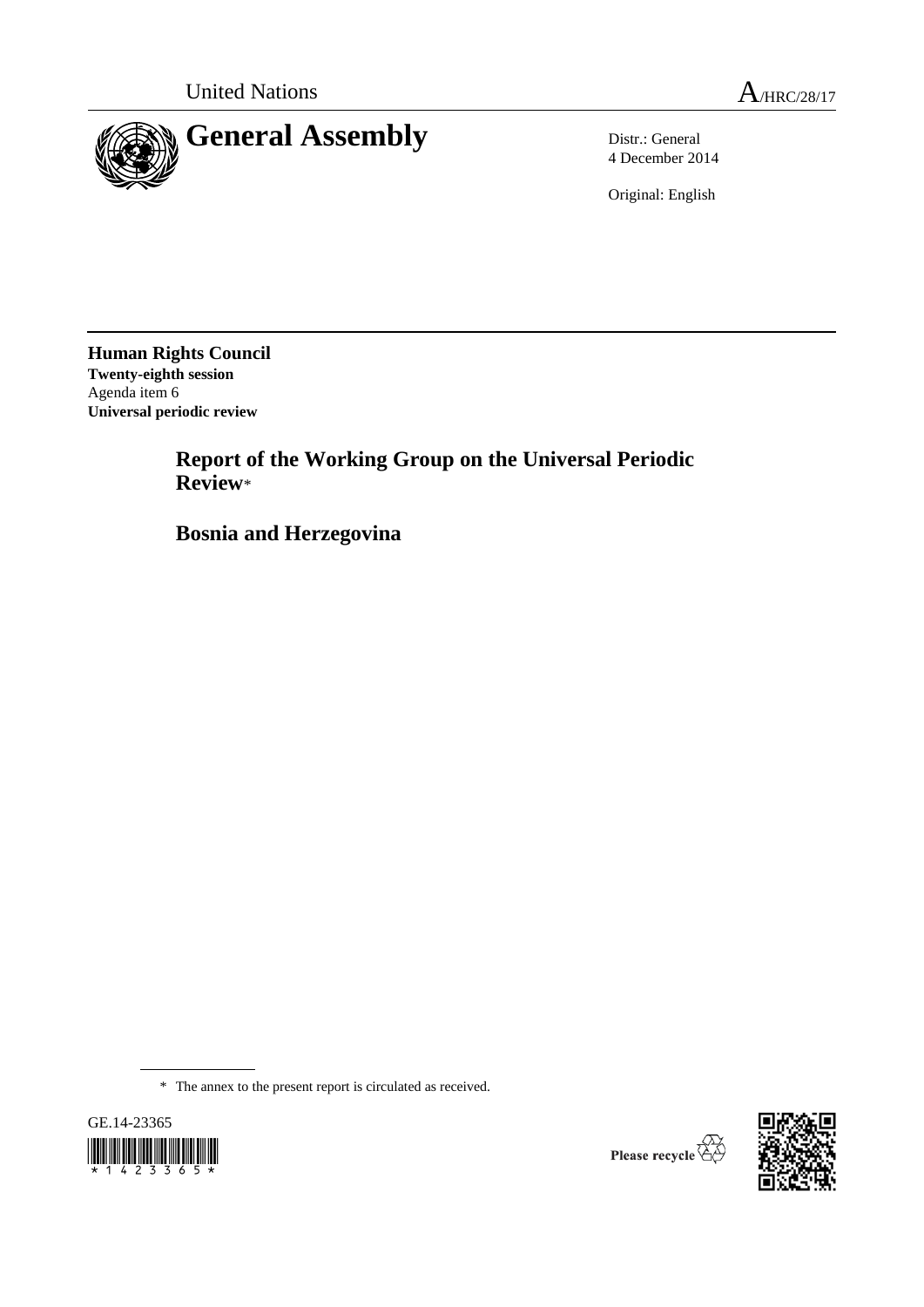

4 December 2014

Original: English

**Human Rights Council Twenty-eighth session** Agenda item 6 **Universal periodic review**

> **Report of the Working Group on the Universal Periodic Review**\*

**Bosnia and Herzegovina**

\* The annex to the present report is circulated as received.





Please recycle  $\overline{\mathbb{G}}$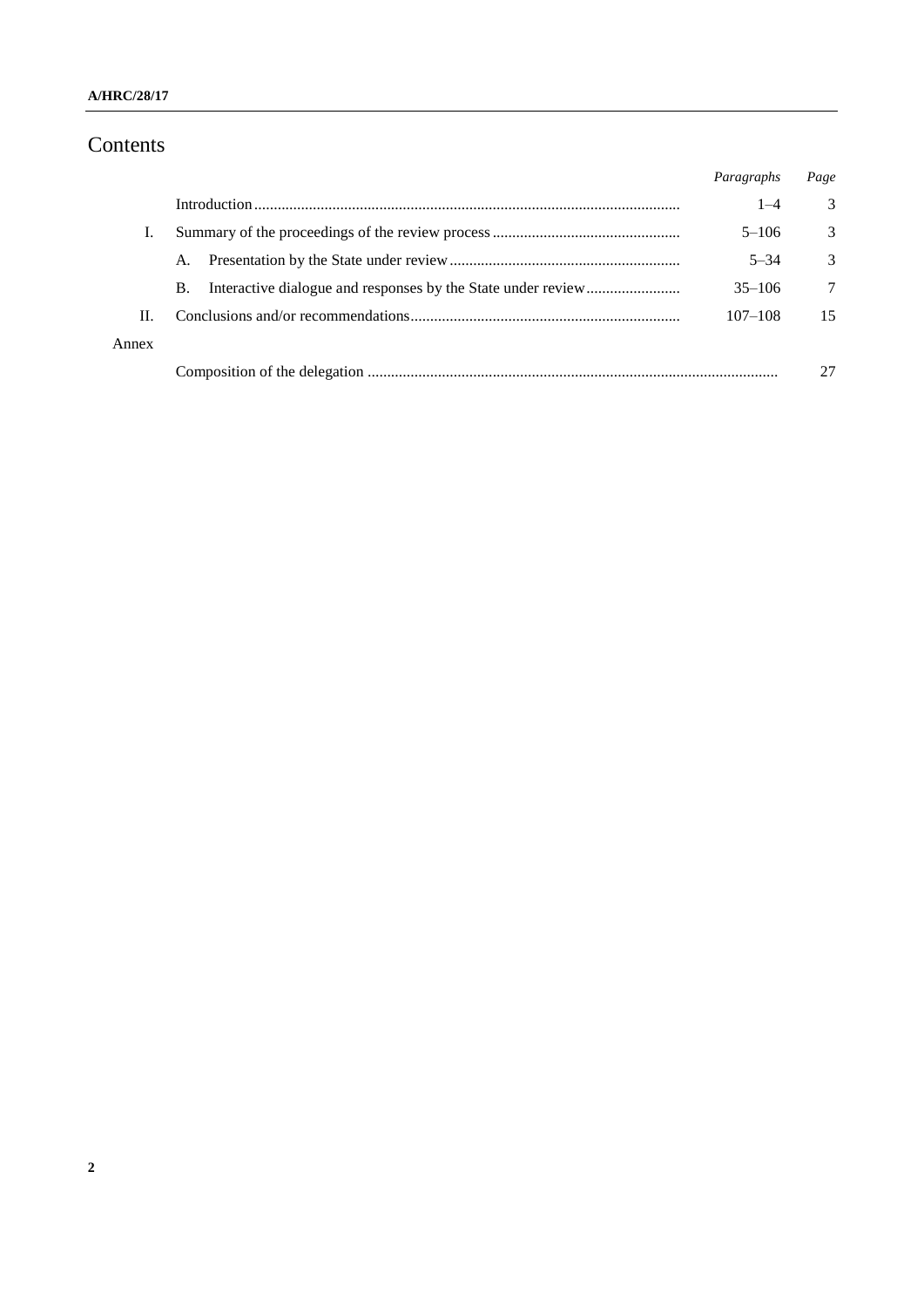# Contents

|       |           | Paragraphs  | Page |
|-------|-----------|-------------|------|
|       |           | $1 - 4$     | 3    |
| Ι.    |           | $5 - 106$   | 3    |
|       | A.        | $5 - 34$    | 3    |
|       | <b>B.</b> | $35 - 106$  | 7    |
| Н.    |           | $107 - 108$ | 15   |
| Annex |           |             |      |
|       |           |             | 27   |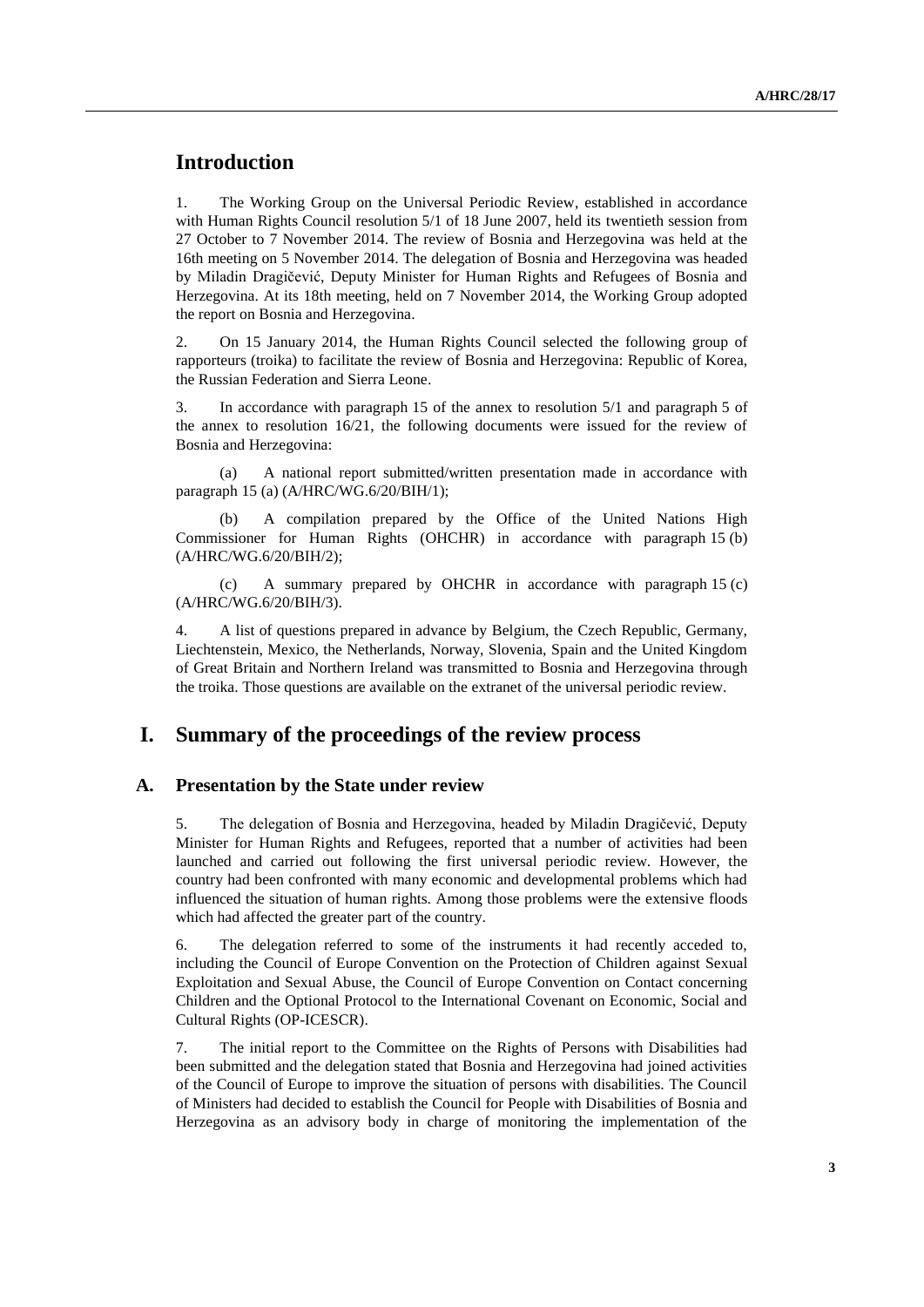## **Introduction**

1. The Working Group on the Universal Periodic Review, established in accordance with Human Rights Council resolution 5/1 of 18 June 2007, held its twentieth session from 27 October to 7 November 2014. The review of Bosnia and Herzegovina was held at the 16th meeting on 5 November 2014. The delegation of Bosnia and Herzegovina was headed by Miladin Dragičević, Deputy Minister for Human Rights and Refugees of Bosnia and Herzegovina. At its 18th meeting, held on 7 November 2014, the Working Group adopted the report on Bosnia and Herzegovina.

2. On 15 January 2014, the Human Rights Council selected the following group of rapporteurs (troika) to facilitate the review of Bosnia and Herzegovina: Republic of Korea, the Russian Federation and Sierra Leone.

3. In accordance with paragraph 15 of the annex to resolution 5/1 and paragraph 5 of the annex to resolution 16/21, the following documents were issued for the review of Bosnia and Herzegovina:

(a) A national report submitted/written presentation made in accordance with paragraph 15 (a) (A/HRC/WG.6/20/BIH/1);

A compilation prepared by the Office of the United Nations High Commissioner for Human Rights (OHCHR) in accordance with paragraph 15 (b) (A/HRC/WG.6/20/BIH/2);

(c) A summary prepared by OHCHR in accordance with paragraph 15 (c) (A/HRC/WG.6/20/BIH/3).

4. A list of questions prepared in advance by Belgium, the Czech Republic, Germany, Liechtenstein, Mexico, the Netherlands, Norway, Slovenia, Spain and the United Kingdom of Great Britain and Northern Ireland was transmitted to Bosnia and Herzegovina through the troika. Those questions are available on the extranet of the universal periodic review.

## **I. Summary of the proceedings of the review process**

#### **A. Presentation by the State under review**

5. The delegation of Bosnia and Herzegovina, headed by Miladin Dragičević, Deputy Minister for Human Rights and Refugees, reported that a number of activities had been launched and carried out following the first universal periodic review. However, the country had been confronted with many economic and developmental problems which had influenced the situation of human rights. Among those problems were the extensive floods which had affected the greater part of the country.

6. The delegation referred to some of the instruments it had recently acceded to, including the Council of Europe Convention on the Protection of Children against Sexual Exploitation and Sexual Abuse, the Council of Europe Convention on Contact concerning Children and the Optional Protocol to the International Covenant on Economic, Social and Cultural Rights (OP-ICESCR).

7. The initial report to the Committee on the Rights of Persons with Disabilities had been submitted and the delegation stated that Bosnia and Herzegovina had joined activities of the Council of Europe to improve the situation of persons with disabilities. The Council of Ministers had decided to establish the Council for People with Disabilities of Bosnia and Herzegovina as an advisory body in charge of monitoring the implementation of the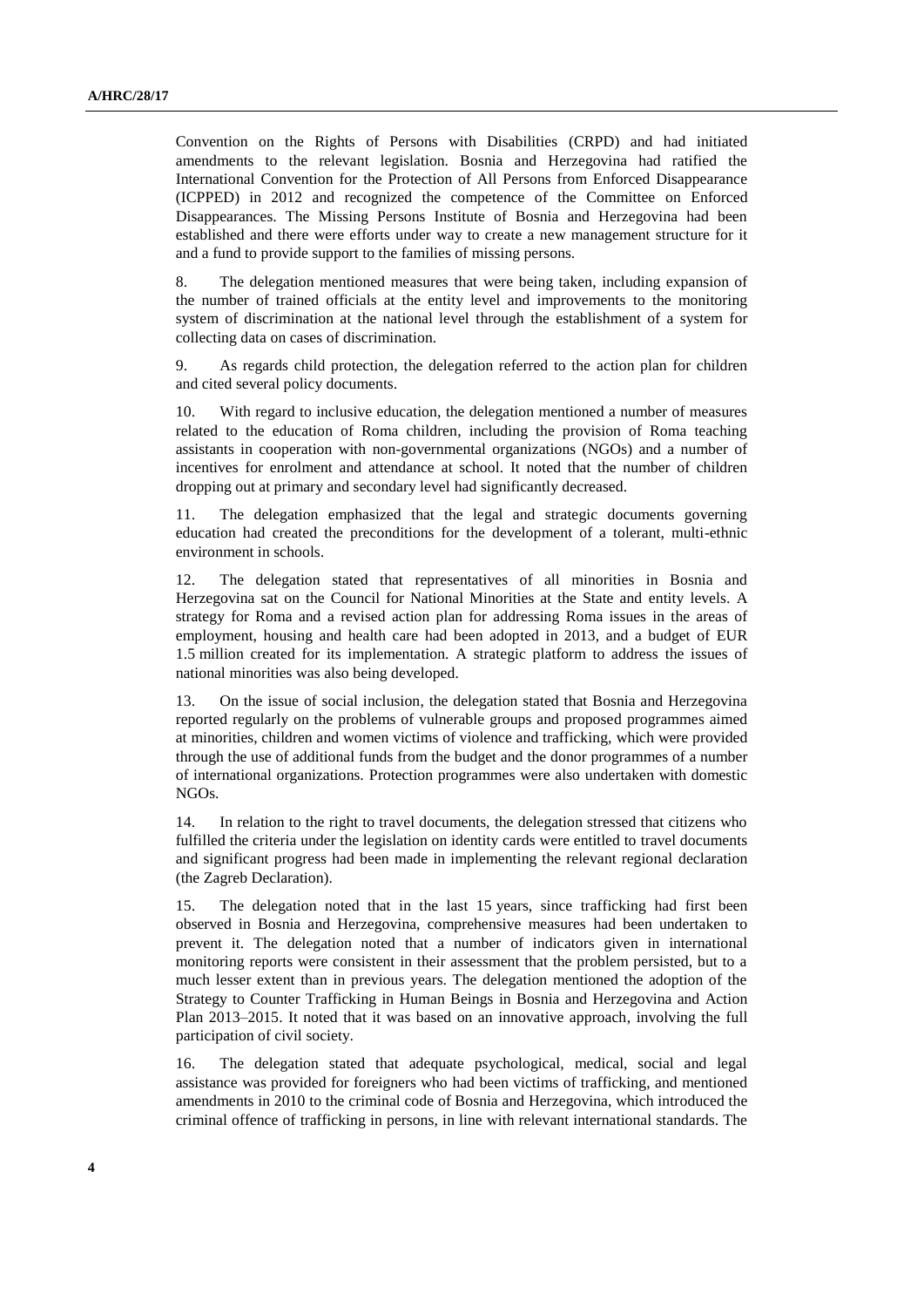Convention on the Rights of Persons with Disabilities (CRPD) and had initiated amendments to the relevant legislation. Bosnia and Herzegovina had ratified the [International Convention for the Protection of All Persons from Enforced Disappearance](http://www.ohchr.org/EN/HRBodies/CED/Pages/ConventionCED.aspx) (ICPPED) in 2012 and recognized the competence of the Committee on Enforced Disappearances. The Missing Persons Institute of Bosnia and Herzegovina had been established and there were efforts under way to create a new management structure for it and a fund to provide support to the families of missing persons.

8. The delegation mentioned measures that were being taken, including expansion of the number of trained officials at the entity level and improvements to the monitoring system of discrimination at the national level through the establishment of a system for collecting data on cases of discrimination.

9. As regards child protection, the delegation referred to the action plan for children and cited several policy documents.

10. With regard to inclusive education, the delegation mentioned a number of measures related to the education of Roma children, including the provision of Roma teaching assistants in cooperation with non-governmental organizations (NGOs) and a number of incentives for enrolment and attendance at school. It noted that the number of children dropping out at primary and secondary level had significantly decreased.

11. The delegation emphasized that the legal and strategic documents governing education had created the preconditions for the development of a tolerant, multi-ethnic environment in schools.

12. The delegation stated that representatives of all minorities in Bosnia and Herzegovina sat on the Council for National Minorities at the State and entity levels. A strategy for Roma and a revised action plan for addressing Roma issues in the areas of employment, housing and health care had been adopted in 2013, and a budget of EUR 1.5 million created for its implementation. A strategic platform to address the issues of national minorities was also being developed.

13. On the issue of social inclusion, the delegation stated that Bosnia and Herzegovina reported regularly on the problems of vulnerable groups and proposed programmes aimed at minorities, children and women victims of violence and trafficking, which were provided through the use of additional funds from the budget and the donor programmes of a number of international organizations. Protection programmes were also undertaken with domestic NGOs.

14. In relation to the right to travel documents, the delegation stressed that citizens who fulfilled the criteria under the legislation on identity cards were entitled to travel documents and significant progress had been made in implementing the relevant regional declaration (the Zagreb Declaration).

15. The delegation noted that in the last 15 years, since trafficking had first been observed in Bosnia and Herzegovina, comprehensive measures had been undertaken to prevent it. The delegation noted that a number of indicators given in international monitoring reports were consistent in their assessment that the problem persisted, but to a much lesser extent than in previous years. The delegation mentioned the adoption of the Strategy to Counter Trafficking in Human Beings in Bosnia and Herzegovina and Action Plan 2013–2015. It noted that it was based on an innovative approach, involving the full participation of civil society.

16. The delegation stated that adequate psychological, medical, social and legal assistance was provided for foreigners who had been victims of trafficking, and mentioned amendments in 2010 to the criminal code of Bosnia and Herzegovina, which introduced the criminal offence of trafficking in persons, in line with relevant international standards. The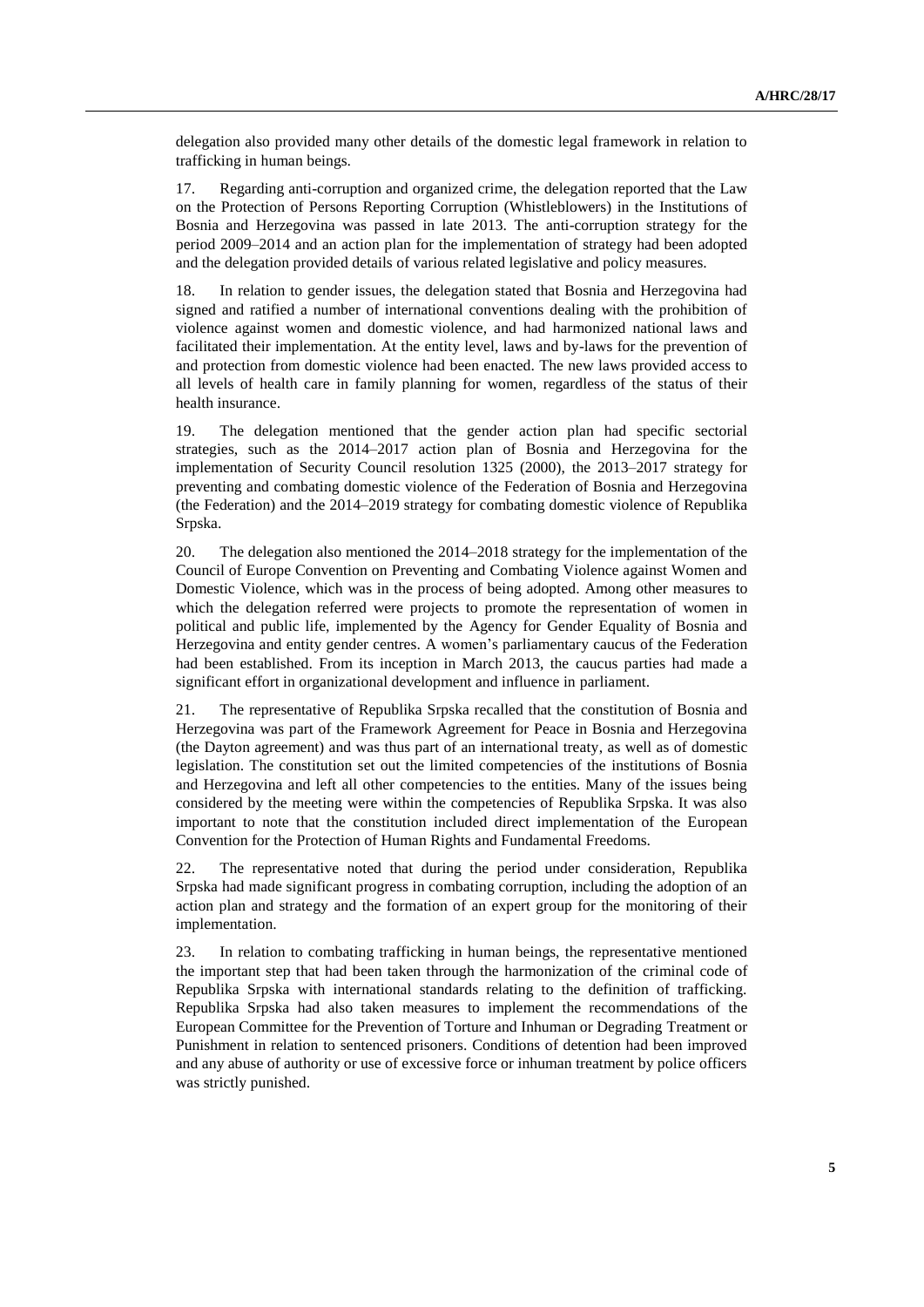delegation also provided many other details of the domestic legal framework in relation to trafficking in human beings.

17. Regarding anti-corruption and organized crime, the delegation reported that the Law on the Protection of Persons Reporting Corruption (Whistleblowers) in the Institutions of Bosnia and Herzegovina was passed in late 2013. The anti-corruption strategy for the period 2009–2014 and an action plan for the implementation of strategy had been adopted and the delegation provided details of various related legislative and policy measures.

18. In relation to gender issues, the delegation stated that Bosnia and Herzegovina had signed and ratified a number of international conventions dealing with the prohibition of violence against women and domestic violence, and had harmonized national laws and facilitated their implementation. At the entity level, laws and by-laws for the prevention of and protection from domestic violence had been enacted. The new laws provided access to all levels of health care in family planning for women, regardless of the status of their health insurance.

19. The delegation mentioned that the gender action plan had specific sectorial strategies, such as the 2014–2017 action plan of Bosnia and Herzegovina for the implementation of Security Council resolution 1325 (2000), the 2013–2017 strategy for preventing and combating domestic violence of the Federation of Bosnia and Herzegovina (the Federation) and the 2014–2019 strategy for combating domestic violence of Republika Srpska.

20. The delegation also mentioned the 2014–2018 strategy for the implementation of the Council of Europe Convention on Preventing and Combating Violence against Women and Domestic Violence, which was in the process of being adopted. Among other measures to which the delegation referred were projects to promote the representation of women in political and public life, implemented by the Agency for Gender Equality of Bosnia and Herzegovina and entity gender centres. A women's parliamentary caucus of the Federation had been established. From its inception in March 2013, the caucus parties had made a significant effort in organizational development and influence in parliament.

21. The representative of Republika Srpska recalled that the constitution of Bosnia and Herzegovina was part of the Framework Agreement for Peace in Bosnia and Herzegovina (the Dayton agreement) and was thus part of an international treaty, as well as of domestic legislation. The constitution set out the limited competencies of the institutions of Bosnia and Herzegovina and left all other competencies to the entities. Many of the issues being considered by the meeting were within the competencies of Republika Srpska. It was also important to note that the constitution included direct implementation of the European Convention for the Protection of Human Rights and Fundamental Freedoms.

22. The representative noted that during the period under consideration, Republika Srpska had made significant progress in combating corruption, including the adoption of an action plan and strategy and the formation of an expert group for the monitoring of their implementation.

23. In relation to combating trafficking in human beings, the representative mentioned the important step that had been taken through the harmonization of the criminal code of Republika Srpska with international standards relating to the definition of trafficking. Republika Srpska had also taken measures to implement the recommendations of the European Committee for the Prevention of Torture and Inhuman or Degrading Treatment or Punishment in relation to sentenced prisoners. Conditions of detention had been improved and any abuse of authority or use of excessive force or inhuman treatment by police officers was strictly punished.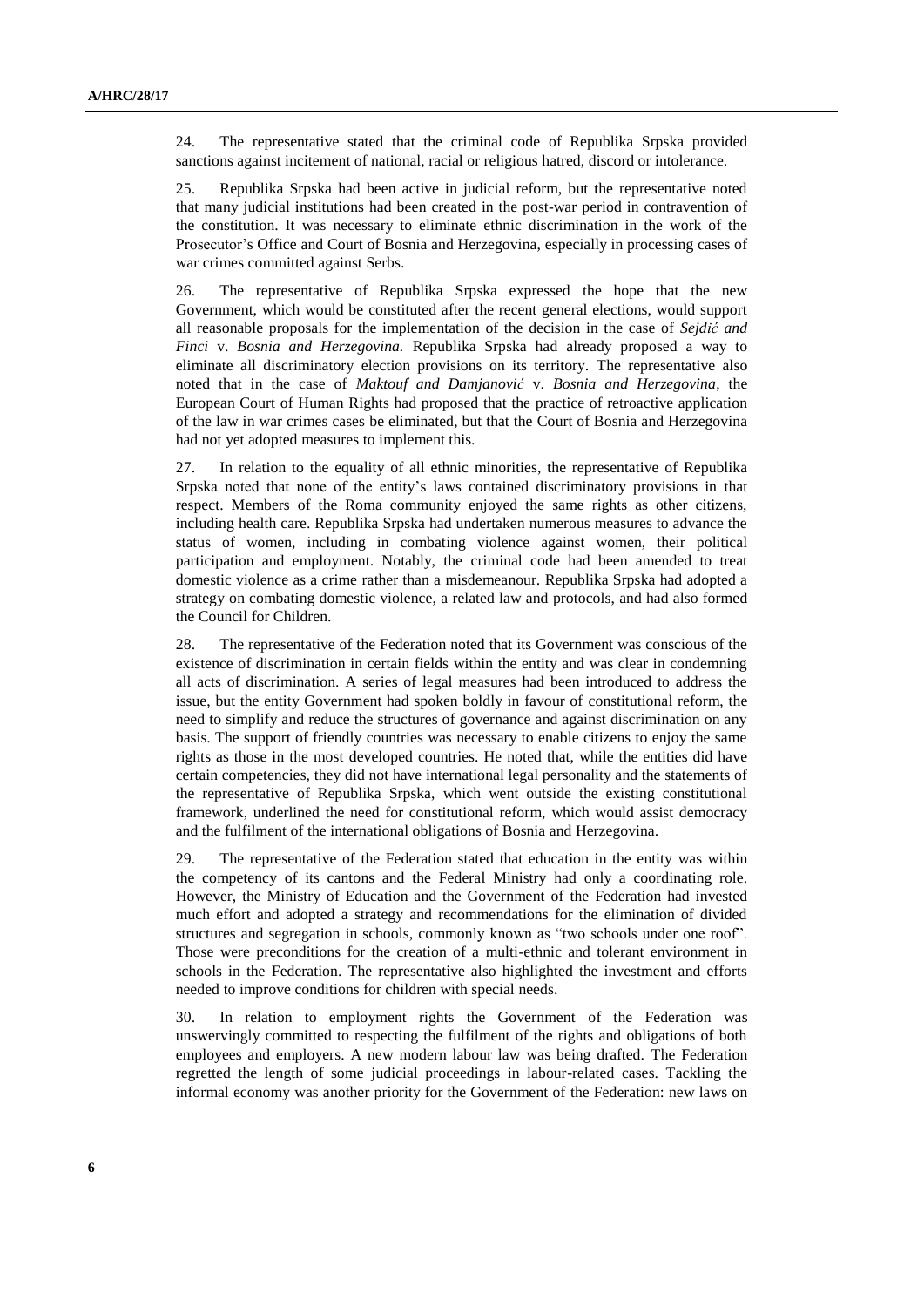24. The representative stated that the criminal code of Republika Srpska provided sanctions against incitement of national, racial or religious hatred, discord or intolerance.

25. Republika Srpska had been active in judicial reform, but the representative noted that many judicial institutions had been created in the post-war period in contravention of the constitution. It was necessary to eliminate ethnic discrimination in the work of the Prosecutor's Office and Court of Bosnia and Herzegovina, especially in processing cases of war crimes committed against Serbs.

26. The representative of Republika Srpska expressed the hope that the new Government, which would be constituted after the recent general elections, would support all reasonable proposals for the implementation of the decision in the case of *Sejdić and Finci* v. *Bosnia and Herzegovina.* Republika Srpska had already proposed a way to eliminate all discriminatory election provisions on its territory. The representative also noted that in the case of *Maktouf and Damjanović* v. *Bosnia and Herzegovina*, the European Court of Human Rights had proposed that the practice of retroactive application of the law in war crimes cases be eliminated, but that the Court of Bosnia and Herzegovina had not yet adopted measures to implement this.

27. In relation to the equality of all ethnic minorities, the representative of Republika Srpska noted that none of the entity's laws contained discriminatory provisions in that respect. Members of the Roma community enjoyed the same rights as other citizens, including health care. Republika Srpska had undertaken numerous measures to advance the status of women, including in combating violence against women, their political participation and employment. Notably, the criminal code had been amended to treat domestic violence as a crime rather than a misdemeanour. Republika Srpska had adopted a strategy on combating domestic violence, a related law and protocols, and had also formed the Council for Children.

28. The representative of the Federation noted that its Government was conscious of the existence of discrimination in certain fields within the entity and was clear in condemning all acts of discrimination. A series of legal measures had been introduced to address the issue, but the entity Government had spoken boldly in favour of constitutional reform, the need to simplify and reduce the structures of governance and against discrimination on any basis. The support of friendly countries was necessary to enable citizens to enjoy the same rights as those in the most developed countries. He noted that, while the entities did have certain competencies, they did not have international legal personality and the statements of the representative of Republika Srpska, which went outside the existing constitutional framework, underlined the need for constitutional reform, which would assist democracy and the fulfilment of the international obligations of Bosnia and Herzegovina.

29. The representative of the Federation stated that education in the entity was within the competency of its cantons and the Federal Ministry had only a coordinating role. However, the Ministry of Education and the Government of the Federation had invested much effort and adopted a strategy and recommendations for the elimination of divided structures and segregation in schools, commonly known as "two schools under one roof". Those were preconditions for the creation of a multi-ethnic and tolerant environment in schools in the Federation. The representative also highlighted the investment and efforts needed to improve conditions for children with special needs.

30. In relation to employment rights the Government of the Federation was unswervingly committed to respecting the fulfilment of the rights and obligations of both employees and employers. A new modern labour law was being drafted. The Federation regretted the length of some judicial proceedings in labour-related cases. Tackling the informal economy was another priority for the Government of the Federation: new laws on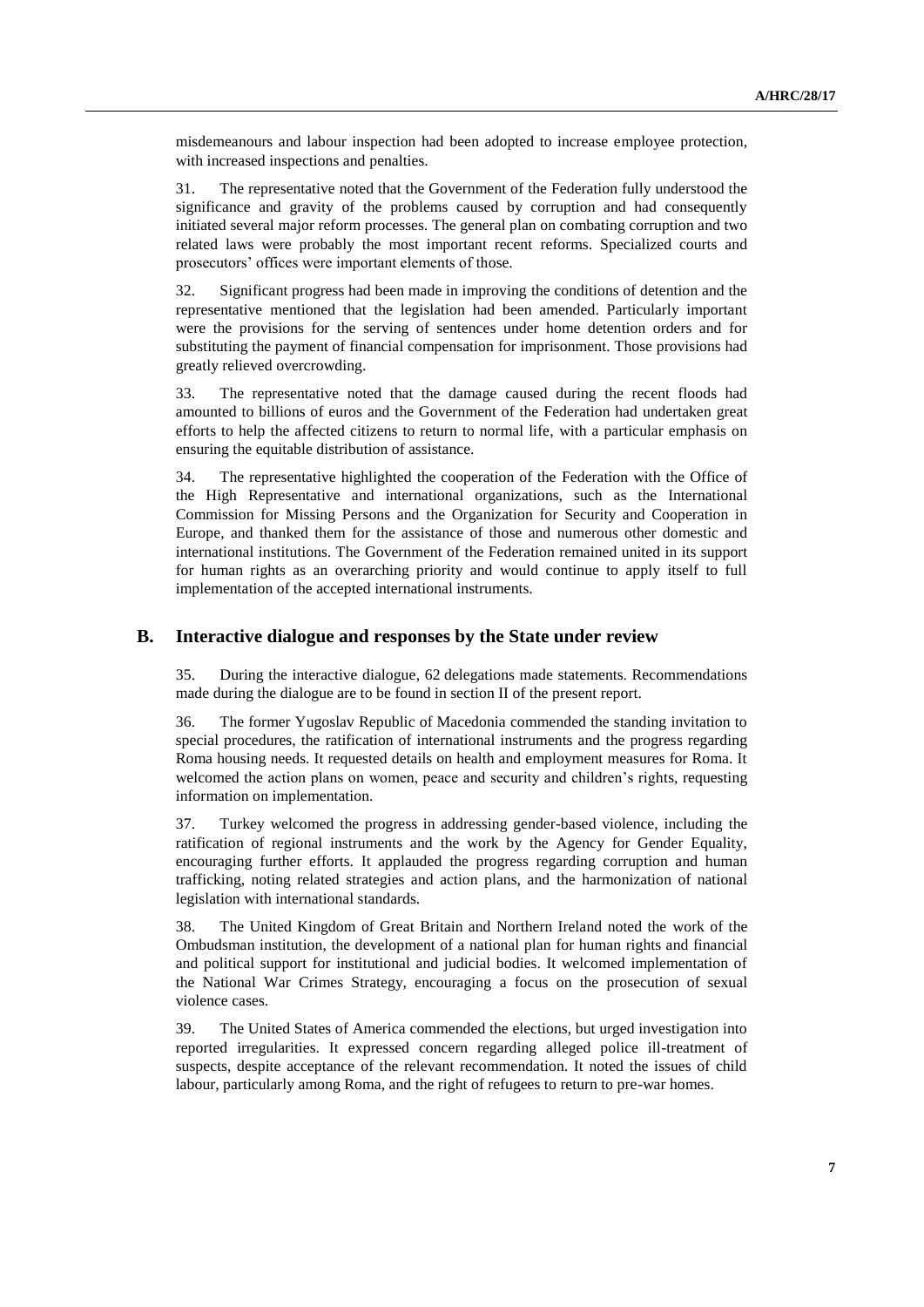misdemeanours and labour inspection had been adopted to increase employee protection, with increased inspections and penalties.

31. The representative noted that the Government of the Federation fully understood the significance and gravity of the problems caused by corruption and had consequently initiated several major reform processes. The general plan on combating corruption and two related laws were probably the most important recent reforms. Specialized courts and prosecutors' offices were important elements of those.

32. Significant progress had been made in improving the conditions of detention and the representative mentioned that the legislation had been amended. Particularly important were the provisions for the serving of sentences under home detention orders and for substituting the payment of financial compensation for imprisonment. Those provisions had greatly relieved overcrowding.

33. The representative noted that the damage caused during the recent floods had amounted to billions of euros and the Government of the Federation had undertaken great efforts to help the affected citizens to return to normal life, with a particular emphasis on ensuring the equitable distribution of assistance.

34. The representative highlighted the cooperation of the Federation with the Office of the High Representative and international organizations, such as the International Commission for Missing Persons and the Organization for Security and Cooperation in Europe, and thanked them for the assistance of those and numerous other domestic and international institutions. The Government of the Federation remained united in its support for human rights as an overarching priority and would continue to apply itself to full implementation of the accepted international instruments.

#### **B. Interactive dialogue and responses by the State under review**

35. During the interactive dialogue, 62 delegations made statements. Recommendations made during the dialogue are to be found in section II of the present report.

36. The former Yugoslav Republic of Macedonia commended the standing invitation to special procedures, the ratification of international instruments and the progress regarding Roma housing needs. It requested details on health and employment measures for Roma. It welcomed the action plans on women, peace and security and children's rights, requesting information on implementation.

37. Turkey welcomed the progress in addressing gender-based violence, including the ratification of regional instruments and the work by the Agency for Gender Equality, encouraging further efforts. It applauded the progress regarding corruption and human trafficking, noting related strategies and action plans, and the harmonization of national legislation with international standards.

38. The United Kingdom of Great Britain and Northern Ireland noted the work of the Ombudsman institution, the development of a national plan for human rights and financial and political support for institutional and judicial bodies. It welcomed implementation of the National War Crimes Strategy, encouraging a focus on the prosecution of sexual violence cases.

39. The United States of America commended the elections, but urged investigation into reported irregularities. It expressed concern regarding alleged police ill-treatment of suspects, despite acceptance of the relevant recommendation. It noted the issues of child labour, particularly among Roma, and the right of refugees to return to pre-war homes.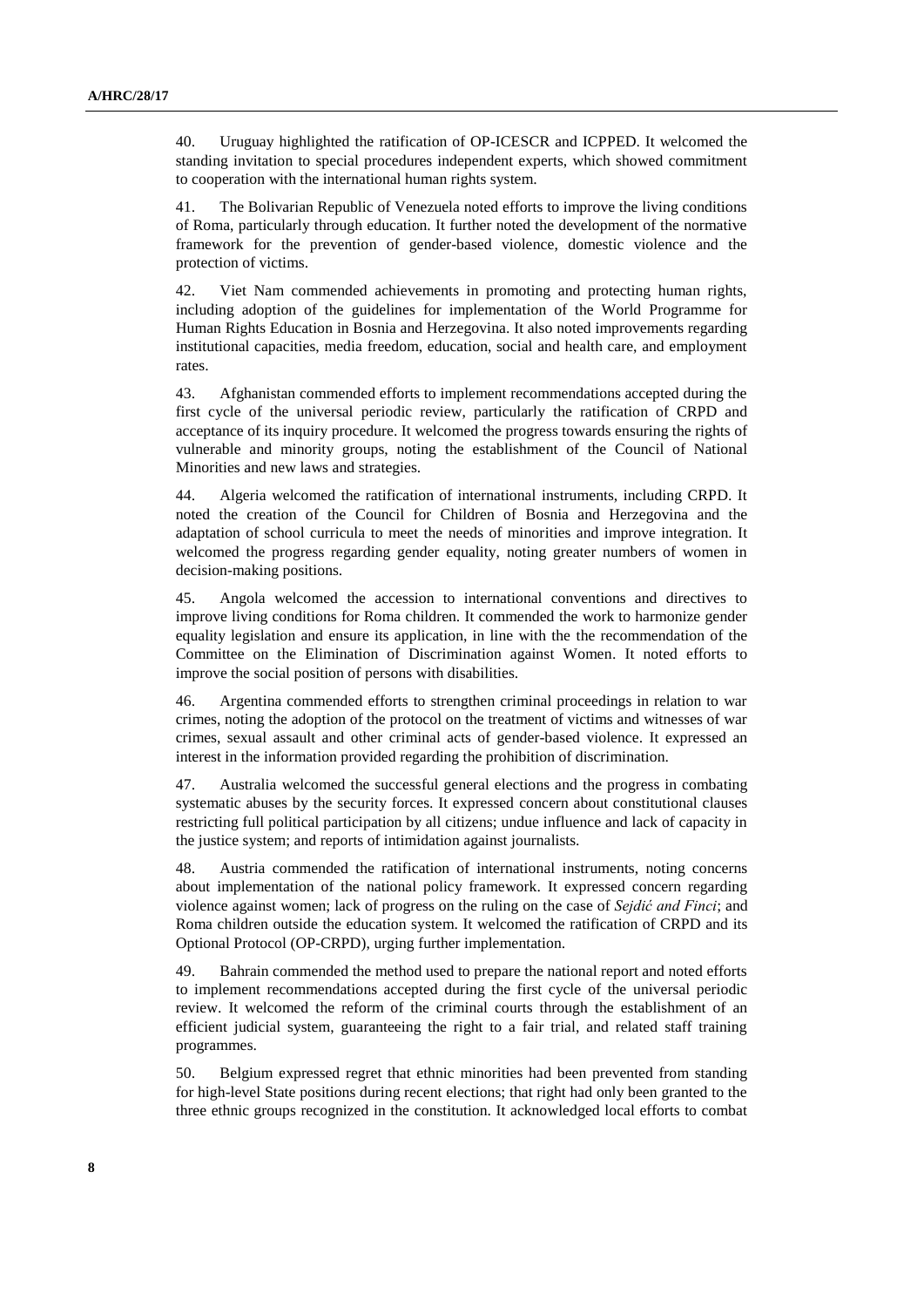40. Uruguay highlighted the ratification of OP-ICESCR and ICPPED. It welcomed the standing invitation to special procedures independent experts, which showed commitment to cooperation with the international human rights system.

41. The Bolivarian Republic of Venezuela noted efforts to improve the living conditions of Roma, particularly through education. It further noted the development of the normative framework for the prevention of gender-based violence, domestic violence and the protection of victims.

42. Viet Nam commended achievements in promoting and protecting human rights, including adoption of the guidelines for implementation of the World Programme for Human Rights Education in Bosnia and Herzegovina. It also noted improvements regarding institutional capacities, media freedom, education, social and health care, and employment rates.

43. Afghanistan commended efforts to implement recommendations accepted during the first cycle of the universal periodic review, particularly the ratification of CRPD and acceptance of its inquiry procedure. It welcomed the progress towards ensuring the rights of vulnerable and minority groups, noting the establishment of the Council of National Minorities and new laws and strategies.

44. Algeria welcomed the ratification of international instruments, including CRPD. It noted the creation of the Council for Children of Bosnia and Herzegovina and the adaptation of school curricula to meet the needs of minorities and improve integration. It welcomed the progress regarding gender equality, noting greater numbers of women in decision-making positions.

45. Angola welcomed the accession to international conventions and directives to improve living conditions for Roma children. It commended the work to harmonize gender equality legislation and ensure its application, in line with the the recommendation of the Committee on the Elimination of Discrimination against Women. It noted efforts to improve the social position of persons with disabilities.

46. Argentina commended efforts to strengthen criminal proceedings in relation to war crimes, noting the adoption of the protocol on the treatment of victims and witnesses of war crimes, sexual assault and other criminal acts of gender-based violence. It expressed an interest in the information provided regarding the prohibition of discrimination.

47. Australia welcomed the successful general elections and the progress in combating systematic abuses by the security forces. It expressed concern about constitutional clauses restricting full political participation by all citizens; undue influence and lack of capacity in the justice system; and reports of intimidation against journalists.

48. Austria commended the ratification of international instruments, noting concerns about implementation of the national policy framework. It expressed concern regarding violence against women; lack of progress on the ruling on the case of *Sejdić and Finci*; and Roma children outside the education system. It welcomed the ratification of CRPD and its Optional Protocol (OP-CRPD), urging further implementation.

49. Bahrain commended the method used to prepare the national report and noted efforts to implement recommendations accepted during the first cycle of the universal periodic review. It welcomed the reform of the criminal courts through the establishment of an efficient judicial system, guaranteeing the right to a fair trial, and related staff training programmes.

50. Belgium expressed regret that ethnic minorities had been prevented from standing for high-level State positions during recent elections; that right had only been granted to the three ethnic groups recognized in the constitution. It acknowledged local efforts to combat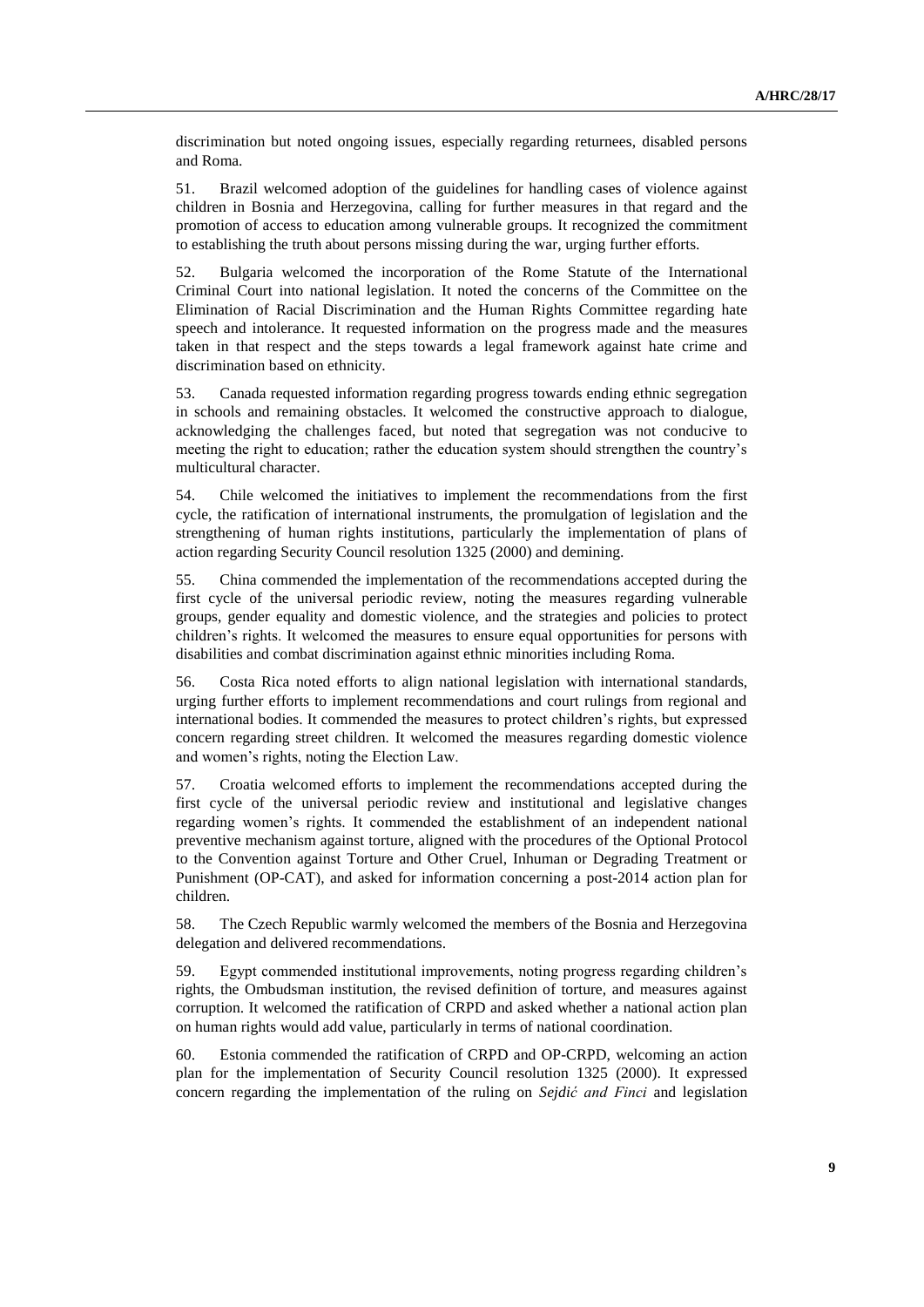discrimination but noted ongoing issues, especially regarding returnees, disabled persons and Roma.

51. Brazil welcomed adoption of the guidelines for handling cases of violence against children in Bosnia and Herzegovina, calling for further measures in that regard and the promotion of access to education among vulnerable groups. It recognized the commitment to establishing the truth about persons missing during the war, urging further efforts.

52. Bulgaria welcomed the incorporation of the Rome Statute of the International Criminal Court into national legislation. It noted the concerns of the Committee on the Elimination of Racial Discrimination and the Human Rights Committee regarding hate speech and intolerance. It requested information on the progress made and the measures taken in that respect and the steps towards a legal framework against hate crime and discrimination based on ethnicity.

53. Canada requested information regarding progress towards ending ethnic segregation in schools and remaining obstacles. It welcomed the constructive approach to dialogue, acknowledging the challenges faced, but noted that segregation was not conducive to meeting the right to education; rather the education system should strengthen the country's multicultural character.

54. Chile welcomed the initiatives to implement the recommendations from the first cycle, the ratification of international instruments, the promulgation of legislation and the strengthening of human rights institutions, particularly the implementation of plans of action regarding Security Council resolution 1325 (2000) and demining.

55. China commended the implementation of the recommendations accepted during the first cycle of the universal periodic review, noting the measures regarding vulnerable groups, gender equality and domestic violence, and the strategies and policies to protect children's rights. It welcomed the measures to ensure equal opportunities for persons with disabilities and combat discrimination against ethnic minorities including Roma.

56. Costa Rica noted efforts to align national legislation with international standards, urging further efforts to implement recommendations and court rulings from regional and international bodies. It commended the measures to protect children's rights, but expressed concern regarding street children. It welcomed the measures regarding domestic violence and women's rights, noting the Election Law.

57. Croatia welcomed efforts to implement the recommendations accepted during the first cycle of the universal periodic review and institutional and legislative changes regarding women's rights. It commended the establishment of an independent national preventive mechanism against torture, aligned with the procedures of the Optional Protocol to the Convention [against Torture and Other Cruel, Inhuman or Degrading Treatment or](http://www.ohchr.org/EN/ProfessionalInterest/Pages/OPCAT.aspx)  [Punishment](http://www.ohchr.org/EN/ProfessionalInterest/Pages/OPCAT.aspx) (OP-CAT), and asked for information concerning a post-2014 action plan for children.

58. The Czech Republic warmly welcomed the members of the Bosnia and Herzegovina delegation and delivered recommendations.

59. Egypt commended institutional improvements, noting progress regarding children's rights, the Ombudsman institution, the revised definition of torture, and measures against corruption. It welcomed the ratification of CRPD and asked whether a national action plan on human rights would add value, particularly in terms of national coordination.

60. Estonia commended the ratification of CRPD and OP-CRPD, welcoming an action plan for the implementation of Security Council resolution 1325 (2000). It expressed concern regarding the implementation of the ruling on *Sejdić and Finci* and legislation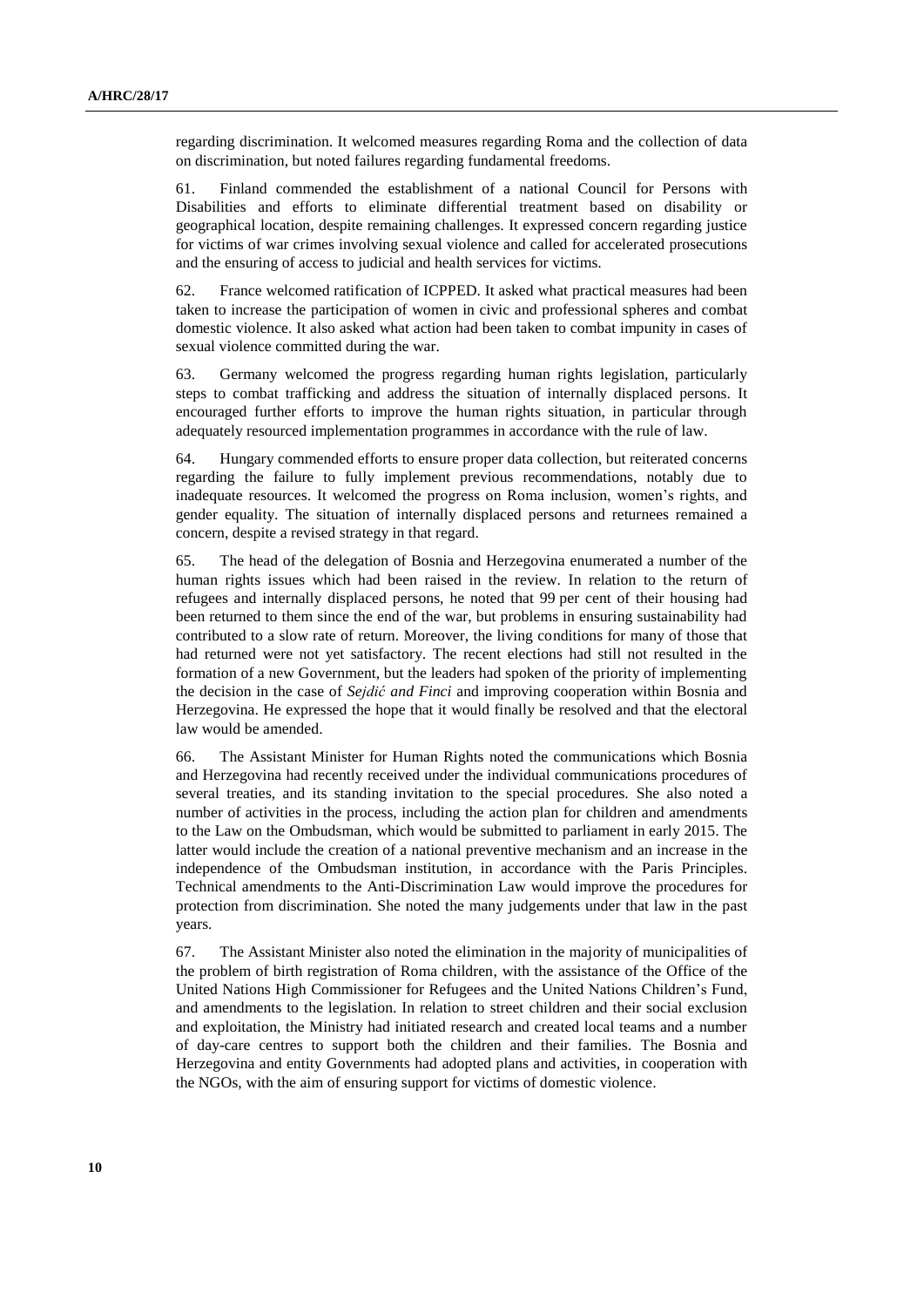regarding discrimination. It welcomed measures regarding Roma and the collection of data on discrimination, but noted failures regarding fundamental freedoms.

61. Finland commended the establishment of a national Council for Persons with Disabilities and efforts to eliminate differential treatment based on disability or geographical location, despite remaining challenges. It expressed concern regarding justice for victims of war crimes involving sexual violence and called for accelerated prosecutions and the ensuring of access to judicial and health services for victims.

62. France welcomed ratification of ICPPED. It asked what practical measures had been taken to increase the participation of women in civic and professional spheres and combat domestic violence. It also asked what action had been taken to combat impunity in cases of sexual violence committed during the war.

63. Germany welcomed the progress regarding human rights legislation, particularly steps to combat trafficking and address the situation of internally displaced persons. It encouraged further efforts to improve the human rights situation, in particular through adequately resourced implementation programmes in accordance with the rule of law.

64. Hungary commended efforts to ensure proper data collection, but reiterated concerns regarding the failure to fully implement previous recommendations, notably due to inadequate resources. It welcomed the progress on Roma inclusion, women's rights, and gender equality. The situation of internally displaced persons and returnees remained a concern, despite a revised strategy in that regard.

65. The head of the delegation of Bosnia and Herzegovina enumerated a number of the human rights issues which had been raised in the review. In relation to the return of refugees and internally displaced persons, he noted that 99 per cent of their housing had been returned to them since the end of the war, but problems in ensuring sustainability had contributed to a slow rate of return. Moreover, the living conditions for many of those that had returned were not yet satisfactory. The recent elections had still not resulted in the formation of a new Government, but the leaders had spoken of the priority of implementing the decision in the case of *Sejdić and Finci* and improving cooperation within Bosnia and Herzegovina. He expressed the hope that it would finally be resolved and that the electoral law would be amended.

66. The Assistant Minister for Human Rights noted the communications which Bosnia and Herzegovina had recently received under the individual communications procedures of several treaties, and its standing invitation to the special procedures. She also noted a number of activities in the process, including the action plan for children and amendments to the Law on the Ombudsman, which would be submitted to parliament in early 2015. The latter would include the creation of a national preventive mechanism and an increase in the independence of the Ombudsman institution, in accordance with the Paris Principles. Technical amendments to the Anti-Discrimination Law would improve the procedures for protection from discrimination. She noted the many judgements under that law in the past years.

67. The Assistant Minister also noted the elimination in the majority of municipalities of the problem of birth registration of Roma children, with the assistance of the Office of the United Nations High Commissioner for Refugees and the United Nations Children's Fund, and amendments to the legislation. In relation to street children and their social exclusion and exploitation, the Ministry had initiated research and created local teams and a number of day-care centres to support both the children and their families. The Bosnia and Herzegovina and entity Governments had adopted plans and activities, in cooperation with the NGOs, with the aim of ensuring support for victims of domestic violence.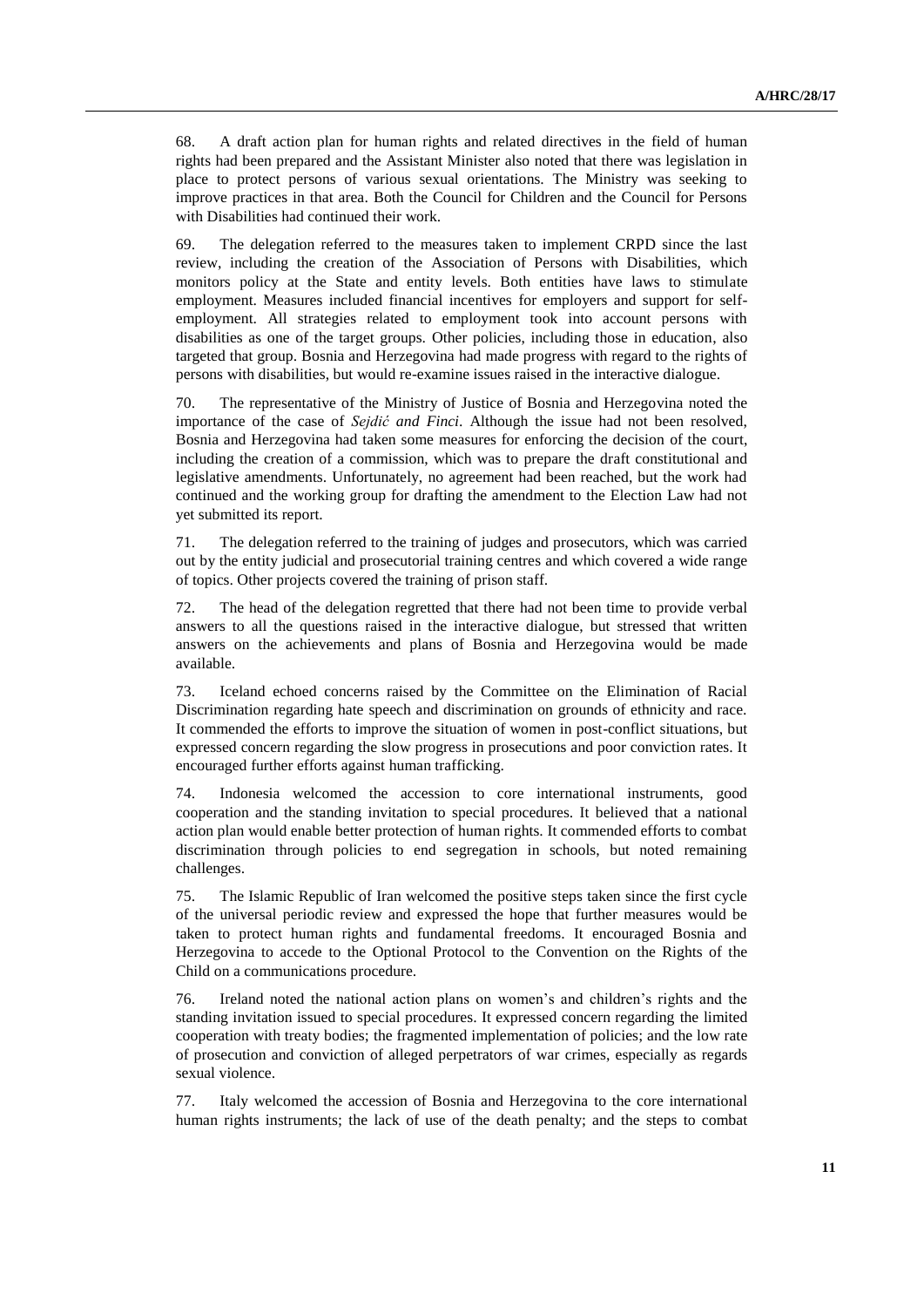68. A draft action plan for human rights and related directives in the field of human rights had been prepared and the Assistant Minister also noted that there was legislation in place to protect persons of various sexual orientations. The Ministry was seeking to improve practices in that area. Both the Council for Children and the Council for Persons with Disabilities had continued their work.

69. The delegation referred to the measures taken to implement CRPD since the last review, including the creation of the Association of Persons with Disabilities, which monitors policy at the State and entity levels. Both entities have laws to stimulate employment. Measures included financial incentives for employers and support for selfemployment. All strategies related to employment took into account persons with disabilities as one of the target groups. Other policies, including those in education, also targeted that group. Bosnia and Herzegovina had made progress with regard to the rights of persons with disabilities, but would re-examine issues raised in the interactive dialogue.

70. The representative of the Ministry of Justice of Bosnia and Herzegovina noted the importance of the case of *Sejdić and Finci*. Although the issue had not been resolved, Bosnia and Herzegovina had taken some measures for enforcing the decision of the court, including the creation of a commission, which was to prepare the draft constitutional and legislative amendments. Unfortunately, no agreement had been reached, but the work had continued and the working group for drafting the amendment to the Election Law had not yet submitted its report.

71. The delegation referred to the training of judges and prosecutors, which was carried out by the entity judicial and prosecutorial training centres and which covered a wide range of topics. Other projects covered the training of prison staff.

72. The head of the delegation regretted that there had not been time to provide verbal answers to all the questions raised in the interactive dialogue, but stressed that written answers on the achievements and plans of Bosnia and Herzegovina would be made available.

73. Iceland echoed concerns raised by the Committee on the Elimination of Racial Discrimination regarding hate speech and discrimination on grounds of ethnicity and race. It commended the efforts to improve the situation of women in post-conflict situations, but expressed concern regarding the slow progress in prosecutions and poor conviction rates. It encouraged further efforts against human trafficking.

74. Indonesia welcomed the accession to core international instruments, good cooperation and the standing invitation to special procedures. It believed that a national action plan would enable better protection of human rights. It commended efforts to combat discrimination through policies to end segregation in schools, but noted remaining challenges.

75. The Islamic Republic of Iran welcomed the positive steps taken since the first cycle of the universal periodic review and expressed the hope that further measures would be taken to protect human rights and fundamental freedoms. It encouraged Bosnia and Herzegovina to accede to the Optional Protocol to the Convention on the Rights of the Child [on a](http://www.ohchr.org/EN/ProfessionalInterest/Pages/OPACCRC.aspx) communications procedure.

76. Ireland noted the national action plans on women's and children's rights and the standing invitation issued to special procedures. It expressed concern regarding the limited cooperation with treaty bodies; the fragmented implementation of policies; and the low rate of prosecution and conviction of alleged perpetrators of war crimes, especially as regards sexual violence.

77. Italy welcomed the accession of Bosnia and Herzegovina to the core international human rights instruments; the lack of use of the death penalty; and the steps to combat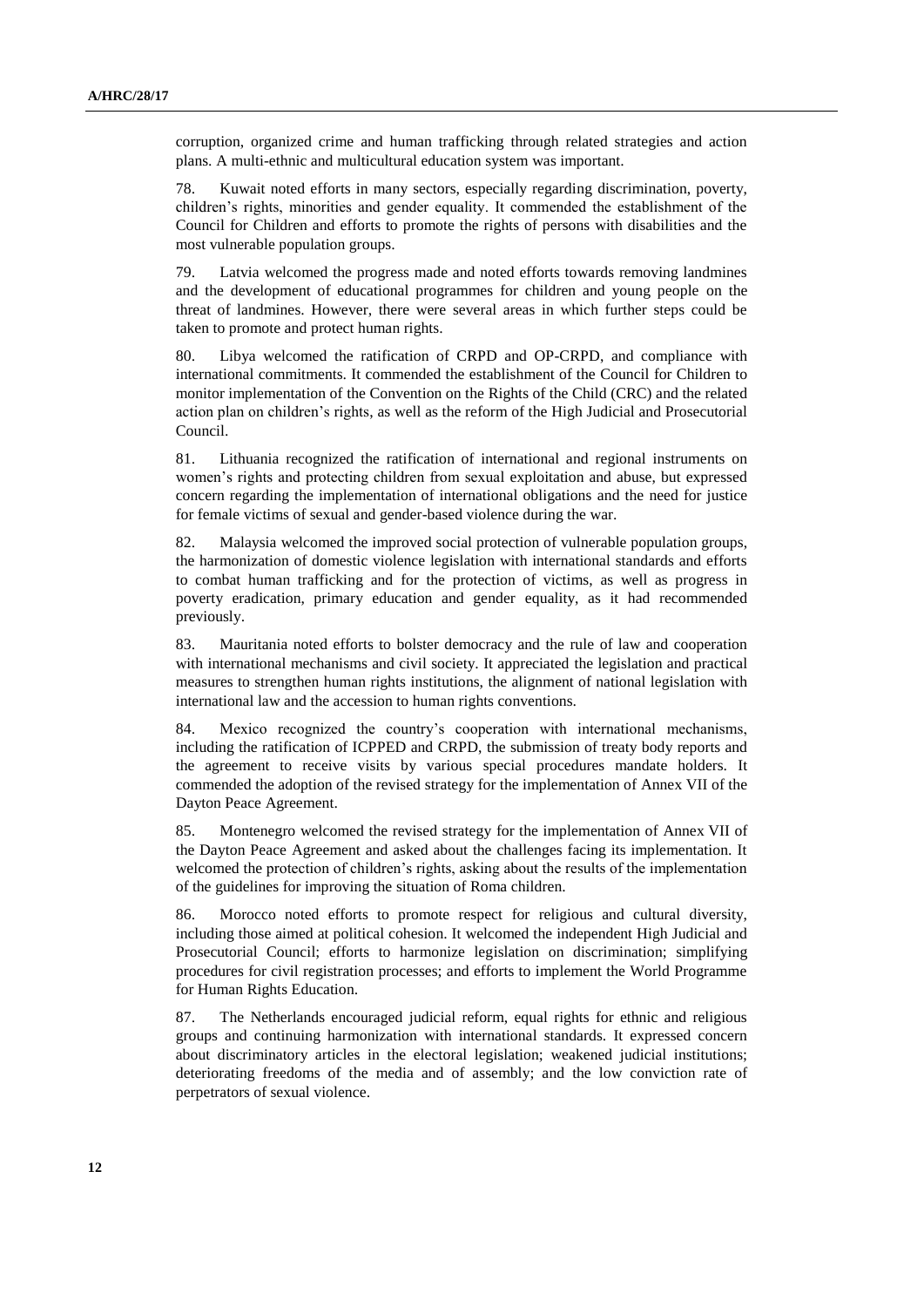corruption, organized crime and human trafficking through related strategies and action plans. A multi-ethnic and multicultural education system was important.

78. Kuwait noted efforts in many sectors, especially regarding discrimination, poverty, children's rights, minorities and gender equality. It commended the establishment of the Council for Children and efforts to promote the rights of persons with disabilities and the most vulnerable population groups.

79. Latvia welcomed the progress made and noted efforts towards removing landmines and the development of educational programmes for children and young people on the threat of landmines. However, there were several areas in which further steps could be taken to promote and protect human rights.

80. Libya welcomed the ratification of CRPD and OP-CRPD, and compliance with international commitments. It commended the establishment of the Council for Children to monitor implementation of the Convention on the Rights of the Child (CRC) and the related action plan on children's rights, as well as the reform of the High Judicial and Prosecutorial Council.

81. Lithuania recognized the ratification of international and regional instruments on women's rights and protecting children from sexual exploitation and abuse, but expressed concern regarding the implementation of international obligations and the need for justice for female victims of sexual and gender-based violence during the war.

82. Malaysia welcomed the improved social protection of vulnerable population groups, the harmonization of domestic violence legislation with international standards and efforts to combat human trafficking and for the protection of victims, as well as progress in poverty eradication, primary education and gender equality, as it had recommended previously.

83. Mauritania noted efforts to bolster democracy and the rule of law and cooperation with international mechanisms and civil society. It appreciated the legislation and practical measures to strengthen human rights institutions, the alignment of national legislation with international law and the accession to human rights conventions.

84. Mexico recognized the country's cooperation with international mechanisms, including the ratification of ICPPED and CRPD, the submission of treaty body reports and the agreement to receive visits by various special procedures mandate holders. It commended the adoption of the revised strategy for the implementation of Annex VII of the Dayton Peace Agreement.

85. Montenegro welcomed the revised strategy for the implementation of Annex VII of the Dayton Peace Agreement and asked about the challenges facing its implementation. It welcomed the protection of children's rights, asking about the results of the implementation of the guidelines for improving the situation of Roma children.

86. Morocco noted efforts to promote respect for religious and cultural diversity, including those aimed at political cohesion. It welcomed the independent High Judicial and Prosecutorial Council; efforts to harmonize legislation on discrimination; simplifying procedures for civil registration processes; and efforts to implement the World Programme for Human Rights Education.

87. The Netherlands encouraged judicial reform, equal rights for ethnic and religious groups and continuing harmonization with international standards. It expressed concern about discriminatory articles in the electoral legislation; weakened judicial institutions; deteriorating freedoms of the media and of assembly; and the low conviction rate of perpetrators of sexual violence.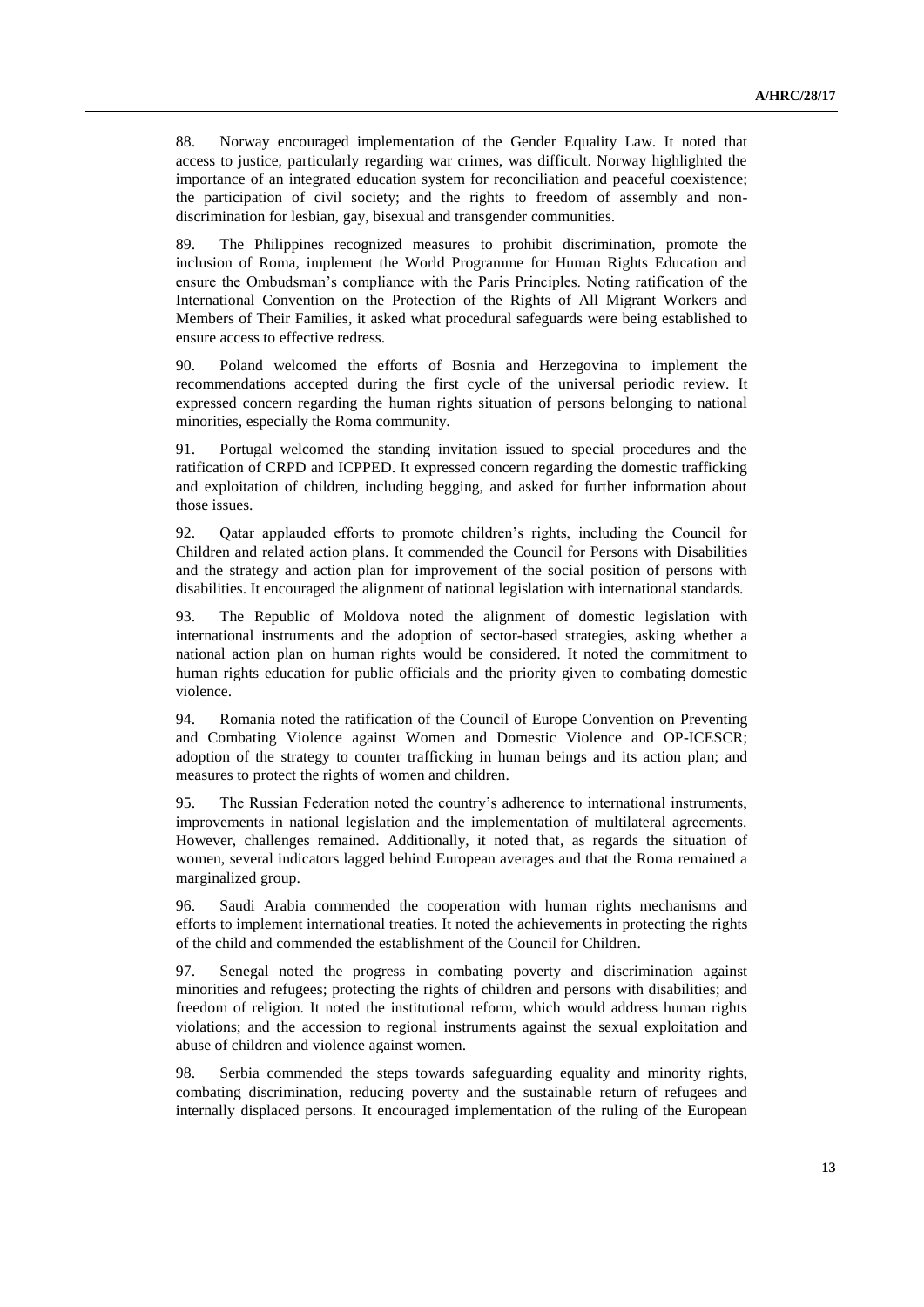88. Norway encouraged implementation of the Gender Equality Law. It noted that access to justice, particularly regarding war crimes, was difficult. Norway highlighted the importance of an integrated education system for reconciliation and peaceful coexistence; the participation of civil society; and the rights to freedom of assembly and nondiscrimination for lesbian, gay, bisexual and transgender communities.

89. The Philippines recognized measures to prohibit discrimination, promote the inclusion of Roma, implement the World Programme for Human Rights Education and ensure the Ombudsman's compliance with the Paris Principles. Noting ratification of the [International Convention on the Protection of the Rights of All Migrant Workers and](http://www.ohchr.org/EN/ProfessionalInterest/Pages/CMW.aspx)  [Members of Their Families,](http://www.ohchr.org/EN/ProfessionalInterest/Pages/CMW.aspx) it asked what procedural safeguards were being established to ensure access to effective redress.

90. Poland welcomed the efforts of Bosnia and Herzegovina to implement the recommendations accepted during the first cycle of the universal periodic review. It expressed concern regarding the human rights situation of persons belonging to national minorities, especially the Roma community.

91. Portugal welcomed the standing invitation issued to special procedures and the ratification of CRPD and ICPPED. It expressed concern regarding the domestic trafficking and exploitation of children, including begging, and asked for further information about those issues.

92. Qatar applauded efforts to promote children's rights, including the Council for Children and related action plans. It commended the Council for Persons with Disabilities and the strategy and action plan for improvement of the social position of persons with disabilities. It encouraged the alignment of national legislation with international standards.

93. The Republic of Moldova noted the alignment of domestic legislation with international instruments and the adoption of sector-based strategies, asking whether a national action plan on human rights would be considered. It noted the commitment to human rights education for public officials and the priority given to combating domestic violence.

94. Romania noted the ratification of the Council of Europe Convention on Preventing and Combating Violence against Women and Domestic Violence and OP-ICESCR; adoption of the strategy to counter trafficking in human beings and its action plan; and measures to protect the rights of women and children.

95. The Russian Federation noted the country's adherence to international instruments, improvements in national legislation and the implementation of multilateral agreements. However, challenges remained. Additionally, it noted that, as regards the situation of women, several indicators lagged behind European averages and that the Roma remained a marginalized group.

96. Saudi Arabia commended the cooperation with human rights mechanisms and efforts to implement international treaties. It noted the achievements in protecting the rights of the child and commended the establishment of the Council for Children.

97. Senegal noted the progress in combating poverty and discrimination against minorities and refugees; protecting the rights of children and persons with disabilities; and freedom of religion. It noted the institutional reform, which would address human rights violations; and the accession to regional instruments against the sexual exploitation and abuse of children and violence against women.

98. Serbia commended the steps towards safeguarding equality and minority rights, combating discrimination, reducing poverty and the sustainable return of refugees and internally displaced persons. It encouraged implementation of the ruling of the European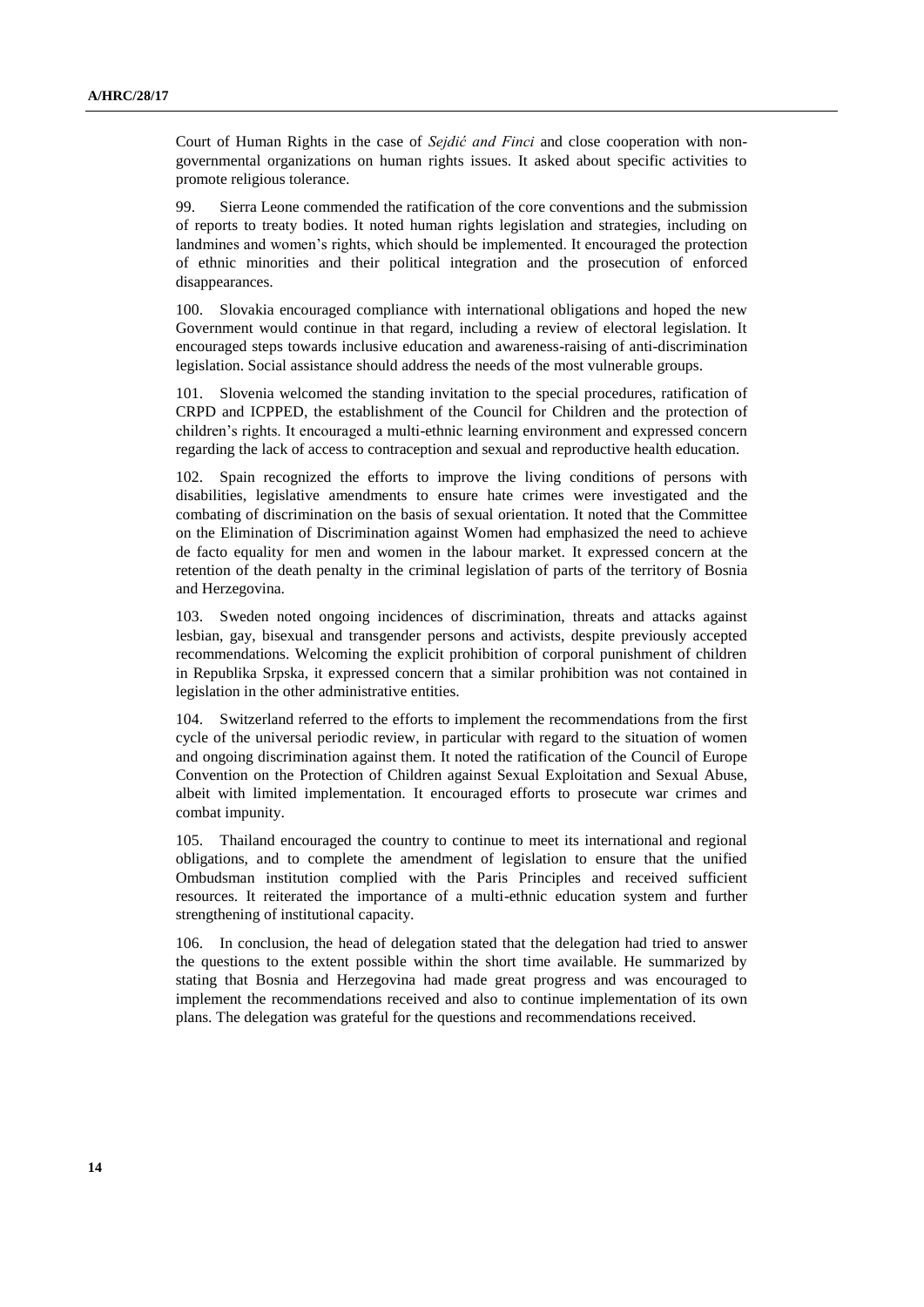Court of Human Rights in the case of *Sejdić and Finci* and close cooperation with nongovernmental organizations on human rights issues. It asked about specific activities to promote religious tolerance.

99. Sierra Leone commended the ratification of the core conventions and the submission of reports to treaty bodies. It noted human rights legislation and strategies, including on landmines and women's rights, which should be implemented. It encouraged the protection of ethnic minorities and their political integration and the prosecution of enforced disappearances.

100. Slovakia encouraged compliance with international obligations and hoped the new Government would continue in that regard, including a review of electoral legislation. It encouraged steps towards inclusive education and awareness-raising of anti-discrimination legislation. Social assistance should address the needs of the most vulnerable groups.

101. Slovenia welcomed the standing invitation to the special procedures, ratification of CRPD and ICPPED, the establishment of the Council for Children and the protection of children's rights. It encouraged a multi-ethnic learning environment and expressed concern regarding the lack of access to contraception and sexual and reproductive health education.

102. Spain recognized the efforts to improve the living conditions of persons with disabilities, legislative amendments to ensure hate crimes were investigated and the combating of discrimination on the basis of sexual orientation. It noted that the Committee on the Elimination of Discrimination against Women had emphasized the need to achieve de facto equality for men and women in the labour market. It expressed concern at the retention of the death penalty in the criminal legislation of parts of the territory of Bosnia and Herzegovina.

103. Sweden noted ongoing incidences of discrimination, threats and attacks against lesbian, gay, bisexual and transgender persons and activists, despite previously accepted recommendations. Welcoming the explicit prohibition of corporal punishment of children in Republika Srpska, it expressed concern that a similar prohibition was not contained in legislation in the other administrative entities.

104. Switzerland referred to the efforts to implement the recommendations from the first cycle of the universal periodic review, in particular with regard to the situation of women and ongoing discrimination against them. It noted the ratification of the Council of Europe Convention on the Protection of Children against Sexual Exploitation and Sexual Abuse, albeit with limited implementation. It encouraged efforts to prosecute war crimes and combat impunity.

105. Thailand encouraged the country to continue to meet its international and regional obligations, and to complete the amendment of legislation to ensure that the unified Ombudsman institution complied with the Paris Principles and received sufficient resources. It reiterated the importance of a multi-ethnic education system and further strengthening of institutional capacity.

106. In conclusion, the head of delegation stated that the delegation had tried to answer the questions to the extent possible within the short time available. He summarized by stating that Bosnia and Herzegovina had made great progress and was encouraged to implement the recommendations received and also to continue implementation of its own plans. The delegation was grateful for the questions and recommendations received.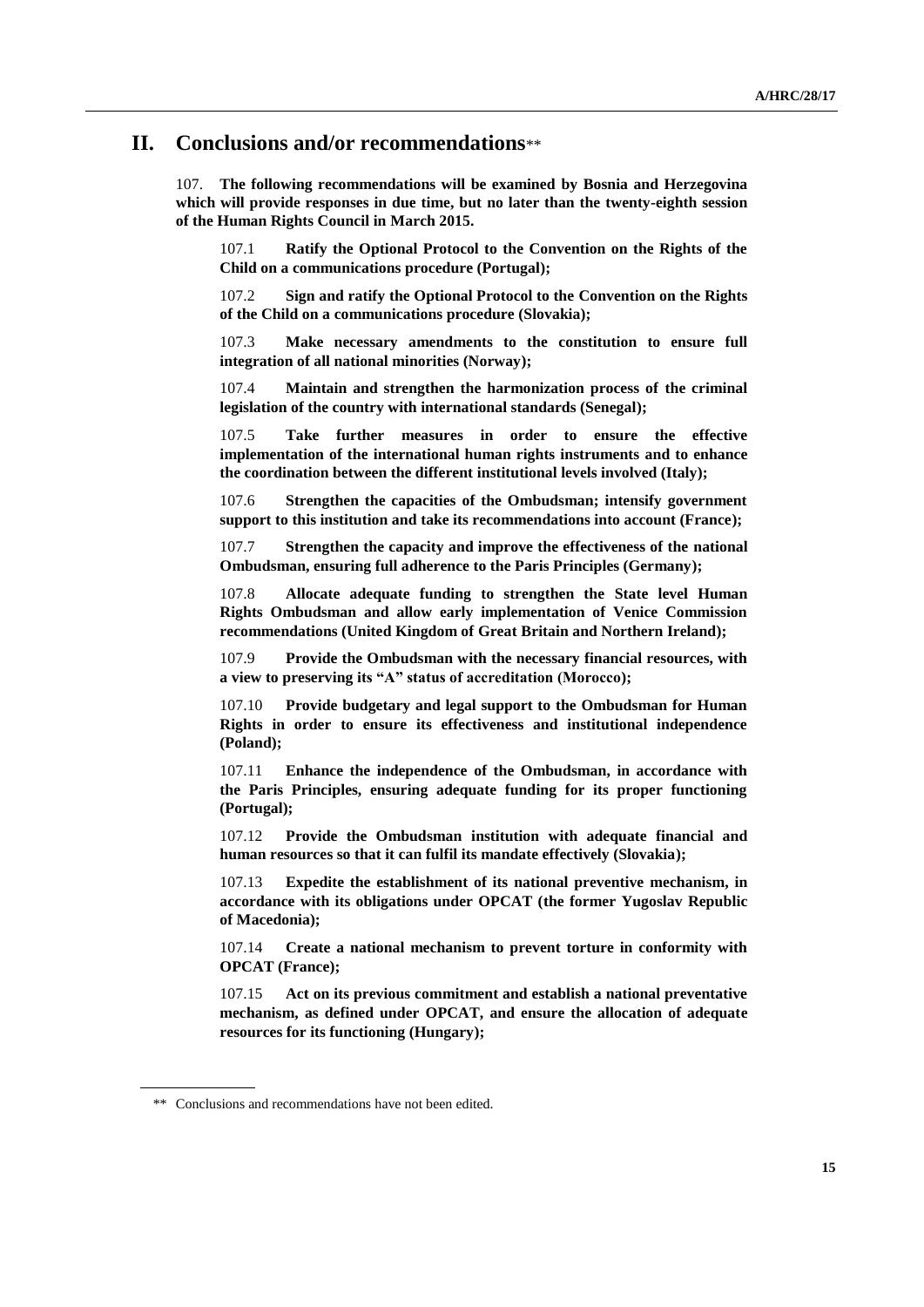### **II. Conclusions and/or recommendations**\*\*

107. **The following recommendations will be examined by Bosnia and Herzegovina which will provide responses in due time, but no later than the twenty-eighth session of the Human Rights Council in March 2015.**

107.1 **Ratify the Optional Protocol to the Convention on the Rights of the Child on a communications procedure (Portugal);**

107.2 **Sign and ratify the Optional Protocol to the Convention on the Rights of the Child on a communications procedure (Slovakia);**

107.3 **Make necessary amendments to the constitution to ensure full integration of all national minorities (Norway);**

107.4 **Maintain and strengthen the harmonization process of the criminal legislation of the country with international standards (Senegal);**

107.5 **Take further measures in order to ensure the effective implementation of the international human rights instruments and to enhance the coordination between the different institutional levels involved (Italy);**

107.6 **Strengthen the capacities of the Ombudsman; intensify government support to this institution and take its recommendations into account (France);**

107.7 **Strengthen the capacity and improve the effectiveness of the national Ombudsman, ensuring full adherence to the Paris Principles (Germany);**

107.8 **Allocate adequate funding to strengthen the State level Human Rights Ombudsman and allow early implementation of Venice Commission recommendations (United Kingdom of Great Britain and Northern Ireland);**

107.9 **Provide the Ombudsman with the necessary financial resources, with a view to preserving its "A" status of accreditation (Morocco);**

107.10 **Provide budgetary and legal support to the Ombudsman for Human Rights in order to ensure its effectiveness and institutional independence (Poland);**

107.11 **Enhance the independence of the Ombudsman, in accordance with the Paris Principles, ensuring adequate funding for its proper functioning (Portugal);**

107.12 **Provide the Ombudsman institution with adequate financial and human resources so that it can fulfil its mandate effectively (Slovakia);**

107.13 **Expedite the establishment of its national preventive mechanism, in accordance with its obligations under OPCAT (the former Yugoslav Republic of Macedonia);**

107.14 **Create a national mechanism to prevent torture in conformity with OPCAT (France);**

107.15 **Act on its previous commitment and establish a national preventative mechanism, as defined under OPCAT, and ensure the allocation of adequate resources for its functioning (Hungary);**

<sup>\*\*</sup> Conclusions and recommendations have not been edited.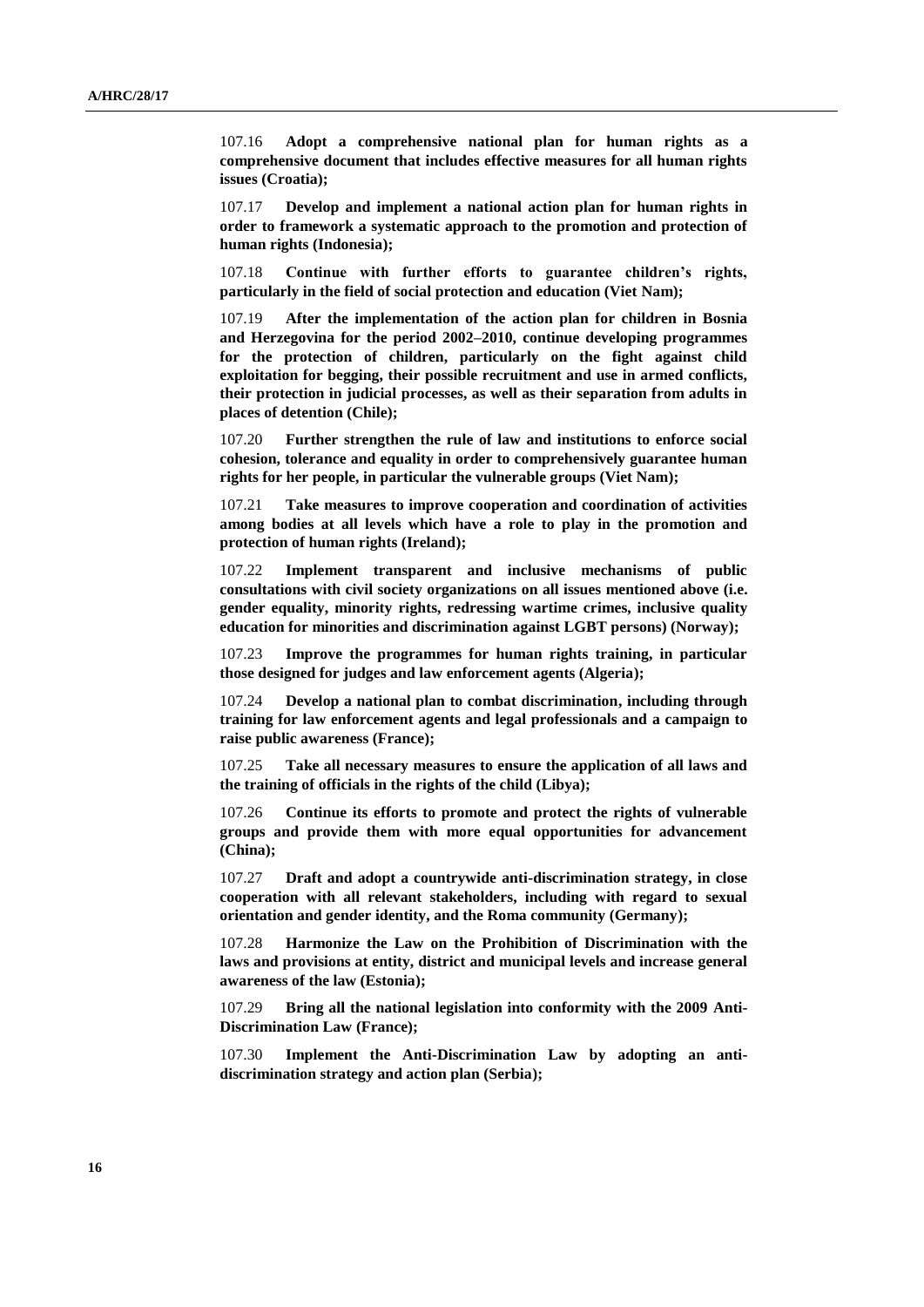107.16 **Adopt a comprehensive national plan for human rights as a comprehensive document that includes effective measures for all human rights issues (Croatia);**

107.17 **Develop and implement a national action plan for human rights in order to framework a systematic approach to the promotion and protection of human rights (Indonesia);**

107.18 **Continue with further efforts to guarantee children's rights, particularly in the field of social protection and education (Viet Nam);**

107.19 **After the implementation of the action plan for children in Bosnia and Herzegovina for the period 2002–2010, continue developing programmes for the protection of children, particularly on the fight against child exploitation for begging, their possible recruitment and use in armed conflicts, their protection in judicial processes, as well as their separation from adults in places of detention (Chile);**

107.20 **Further strengthen the rule of law and institutions to enforce social cohesion, tolerance and equality in order to comprehensively guarantee human rights for her people, in particular the vulnerable groups (Viet Nam);**

107.21 **Take measures to improve cooperation and coordination of activities among bodies at all levels which have a role to play in the promotion and protection of human rights (Ireland);**

107.22 **Implement transparent and inclusive mechanisms of public consultations with civil society organizations on all issues mentioned above (i.e. gender equality, minority rights, redressing wartime crimes, inclusive quality education for minorities and discrimination against LGBT persons) (Norway);**

107.23 **Improve the programmes for human rights training, in particular those designed for judges and law enforcement agents (Algeria);**

107.24 **Develop a national plan to combat discrimination, including through training for law enforcement agents and legal professionals and a campaign to raise public awareness (France);**

107.25 **Take all necessary measures to ensure the application of all laws and the training of officials in the rights of the child (Libya);**

107.26 **Continue its efforts to promote and protect the rights of vulnerable groups and provide them with more equal opportunities for advancement (China);**

107.27 **Draft and adopt a countrywide anti-discrimination strategy, in close cooperation with all relevant stakeholders, including with regard to sexual orientation and gender identity, and the Roma community (Germany);**

107.28 **Harmonize the Law on the Prohibition of Discrimination with the laws and provisions at entity, district and municipal levels and increase general awareness of the law (Estonia);**

107.29 **Bring all the national legislation into conformity with the 2009 Anti-Discrimination Law (France);**

107.30 **Implement the Anti-Discrimination Law by adopting an antidiscrimination strategy and action plan (Serbia);**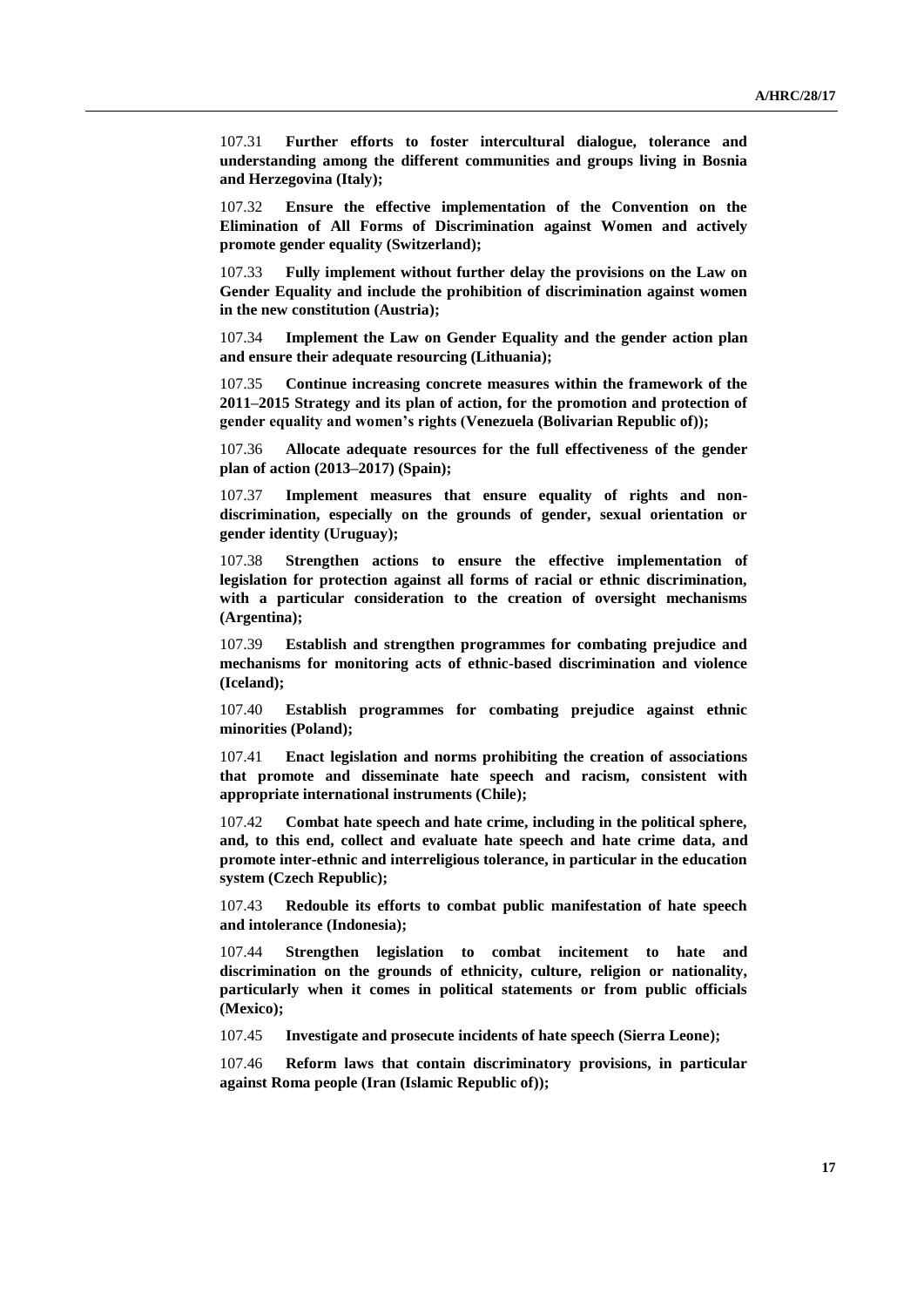107.31 **Further efforts to foster intercultural dialogue, tolerance and understanding among the different communities and groups living in Bosnia and Herzegovina (Italy);**

107.32 **Ensure the effective implementation of the Convention on the Elimination of All Forms of Discrimination against Women and actively promote gender equality (Switzerland);**

107.33 **Fully implement without further delay the provisions on the Law on Gender Equality and include the prohibition of discrimination against women in the new constitution (Austria);**

107.34 **Implement the Law on Gender Equality and the gender action plan and ensure their adequate resourcing (Lithuania);**

107.35 **Continue increasing concrete measures within the framework of the 2011–2015 Strategy and its plan of action, for the promotion and protection of gender equality and women's rights (Venezuela (Bolivarian Republic of));**

107.36 **Allocate adequate resources for the full effectiveness of the gender plan of action (2013–2017) (Spain);**

107.37 **Implement measures that ensure equality of rights and nondiscrimination, especially on the grounds of gender, sexual orientation or gender identity (Uruguay);**

107.38 **Strengthen actions to ensure the effective implementation of legislation for protection against all forms of racial or ethnic discrimination, with a particular consideration to the creation of oversight mechanisms (Argentina);**

107.39 **Establish and strengthen programmes for combating prejudice and mechanisms for monitoring acts of ethnic-based discrimination and violence (Iceland);**

107.40 **Establish programmes for combating prejudice against ethnic minorities (Poland);**

107.41 **Enact legislation and norms prohibiting the creation of associations that promote and disseminate hate speech and racism, consistent with appropriate international instruments (Chile);**

107.42 **Combat hate speech and hate crime, including in the political sphere, and, to this end, collect and evaluate hate speech and hate crime data, and promote inter-ethnic and interreligious tolerance, in particular in the education system (Czech Republic);**

107.43 **Redouble its efforts to combat public manifestation of hate speech and intolerance (Indonesia);**

107.44 **Strengthen legislation to combat incitement to hate and discrimination on the grounds of ethnicity, culture, religion or nationality, particularly when it comes in political statements or from public officials (Mexico);**

107.45 **Investigate and prosecute incidents of hate speech (Sierra Leone);**

107.46 **Reform laws that contain discriminatory provisions, in particular against Roma people (Iran (Islamic Republic of));**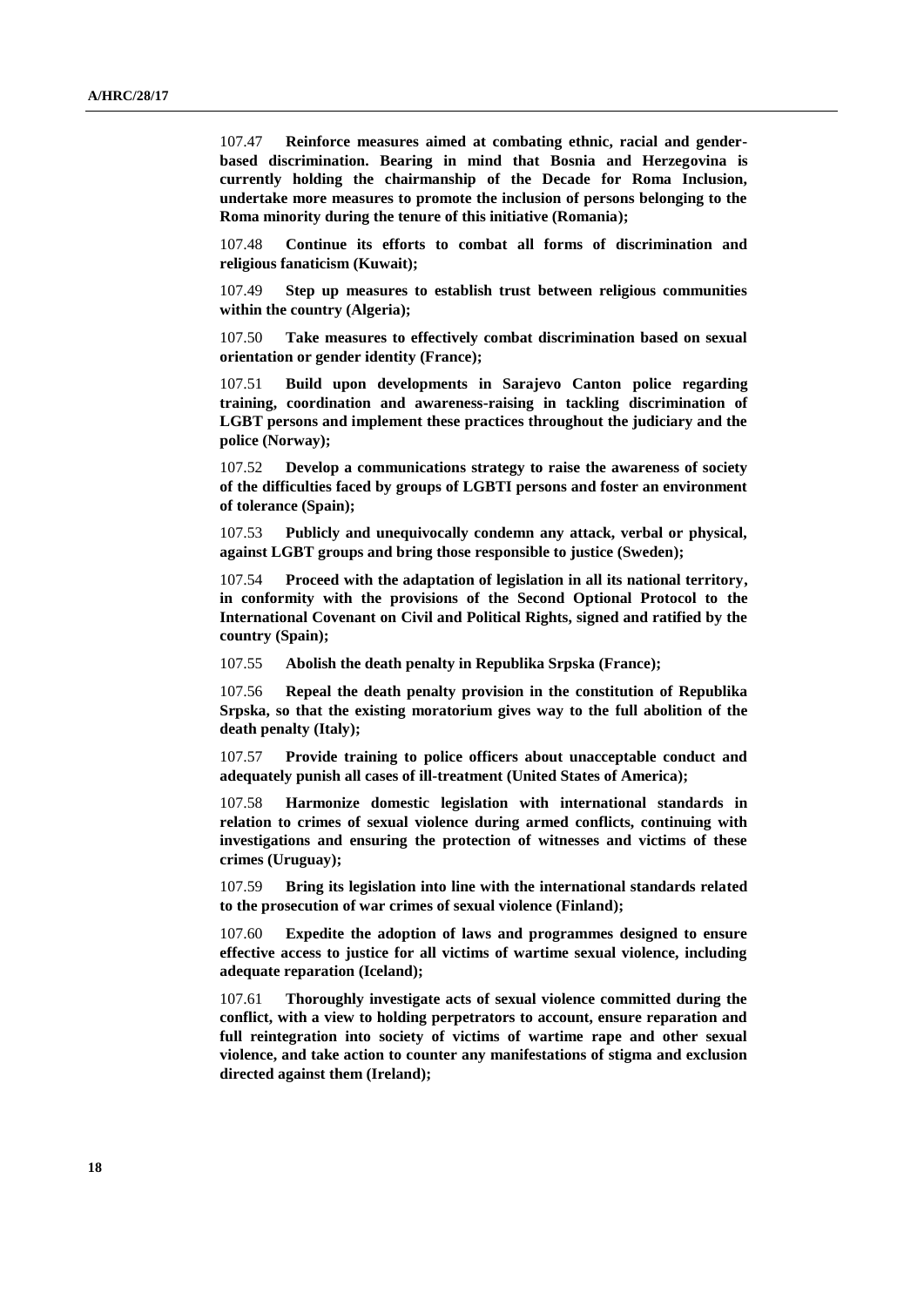107.47 **Reinforce measures aimed at combating ethnic, racial and genderbased discrimination. Bearing in mind that Bosnia and Herzegovina is currently holding the chairmanship of the Decade for Roma Inclusion, undertake more measures to promote the inclusion of persons belonging to the Roma minority during the tenure of this initiative (Romania);**

107.48 **Continue its efforts to combat all forms of discrimination and religious fanaticism (Kuwait);**

107.49 **Step up measures to establish trust between religious communities within the country (Algeria);**

107.50 **Take measures to effectively combat discrimination based on sexual orientation or gender identity (France);**

107.51 **Build upon developments in Sarajevo Canton police regarding training, coordination and awareness-raising in tackling discrimination of LGBT persons and implement these practices throughout the judiciary and the police (Norway);**

107.52 **Develop a communications strategy to raise the awareness of society of the difficulties faced by groups of LGBTI persons and foster an environment of tolerance (Spain);**

107.53 **Publicly and unequivocally condemn any attack, verbal or physical, against LGBT groups and bring those responsible to justice (Sweden);**

107.54 **Proceed with the adaptation of legislation in all its national territory, in conformity with the provisions of the Second Optional Protocol to the International Covenant on Civil and Political Rights, signed and ratified by the country (Spain);**

107.55 **Abolish the death penalty in Republika Srpska (France);**

107.56 **Repeal the death penalty provision in the constitution of Republika Srpska, so that the existing moratorium gives way to the full abolition of the death penalty (Italy);**

107.57 **Provide training to police officers about unacceptable conduct and adequately punish all cases of ill-treatment (United States of America);**

107.58 **Harmonize domestic legislation with international standards in relation to crimes of sexual violence during armed conflicts, continuing with investigations and ensuring the protection of witnesses and victims of these crimes (Uruguay);**

107.59 **Bring its legislation into line with the international standards related to the prosecution of war crimes of sexual violence (Finland);**

107.60 **Expedite the adoption of laws and programmes designed to ensure effective access to justice for all victims of wartime sexual violence, including adequate reparation (Iceland);**

107.61 **Thoroughly investigate acts of sexual violence committed during the conflict, with a view to holding perpetrators to account, ensure reparation and full reintegration into society of victims of wartime rape and other sexual violence, and take action to counter any manifestations of stigma and exclusion directed against them (Ireland);**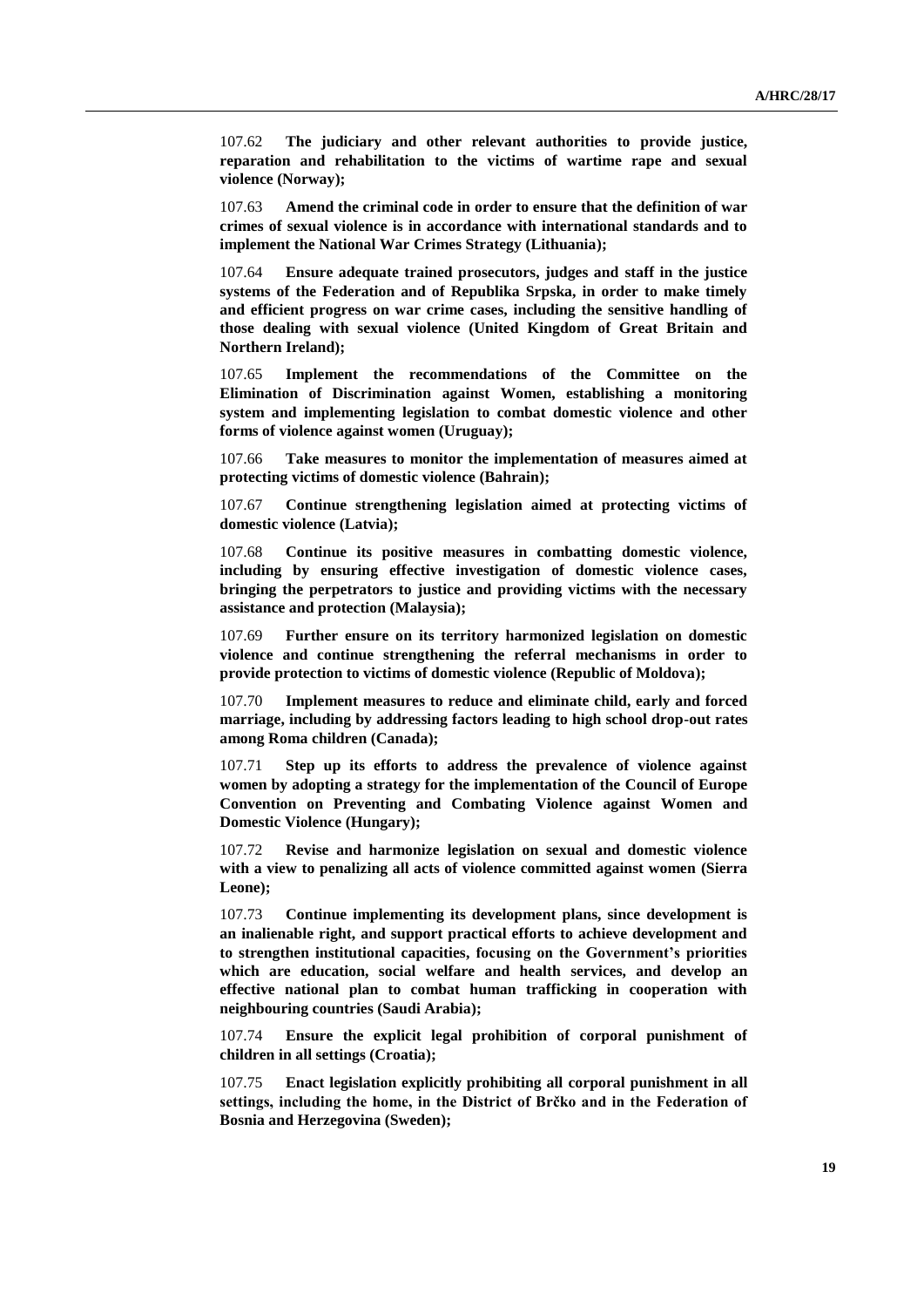107.62 **The judiciary and other relevant authorities to provide justice, reparation and rehabilitation to the victims of wartime rape and sexual violence (Norway);**

107.63 **Amend the criminal code in order to ensure that the definition of war crimes of sexual violence is in accordance with international standards and to implement the National War Crimes Strategy (Lithuania);**

107.64 **Ensure adequate trained prosecutors, judges and staff in the justice systems of the Federation and of Republika Srpska, in order to make timely and efficient progress on war crime cases, including the sensitive handling of those dealing with sexual violence (United Kingdom of Great Britain and Northern Ireland);**

107.65 **Implement the recommendations of the Committee on the Elimination of Discrimination against Women, establishing a monitoring system and implementing legislation to combat domestic violence and other forms of violence against women (Uruguay);**

107.66 **Take measures to monitor the implementation of measures aimed at protecting victims of domestic violence (Bahrain);**

107.67 **Continue strengthening legislation aimed at protecting victims of domestic violence (Latvia);**

107.68 **Continue its positive measures in combatting domestic violence, including by ensuring effective investigation of domestic violence cases, bringing the perpetrators to justice and providing victims with the necessary assistance and protection (Malaysia);**

107.69 **Further ensure on its territory harmonized legislation on domestic violence and continue strengthening the referral mechanisms in order to provide protection to victims of domestic violence (Republic of Moldova);**

107.70 **Implement measures to reduce and eliminate child, early and forced marriage, including by addressing factors leading to high school drop-out rates among Roma children (Canada);**

107.71 **Step up its efforts to address the prevalence of violence against women by adopting a strategy for the implementation of the Council of Europe Convention on Preventing and Combating Violence against Women and Domestic Violence (Hungary);**

107.72 **Revise and harmonize legislation on sexual and domestic violence with a view to penalizing all acts of violence committed against women (Sierra Leone);**

107.73 **Continue implementing its development plans, since development is an inalienable right, and support practical efforts to achieve development and to strengthen institutional capacities, focusing on the Government's priorities which are education, social welfare and health services, and develop an effective national plan to combat human trafficking in cooperation with neighbouring countries (Saudi Arabia);**

107.74 **Ensure the explicit legal prohibition of corporal punishment of children in all settings (Croatia);**

107.75 **Enact legislation explicitly prohibiting all corporal punishment in all settings, including the home, in the District of Brčko and in the Federation of Bosnia and Herzegovina (Sweden);**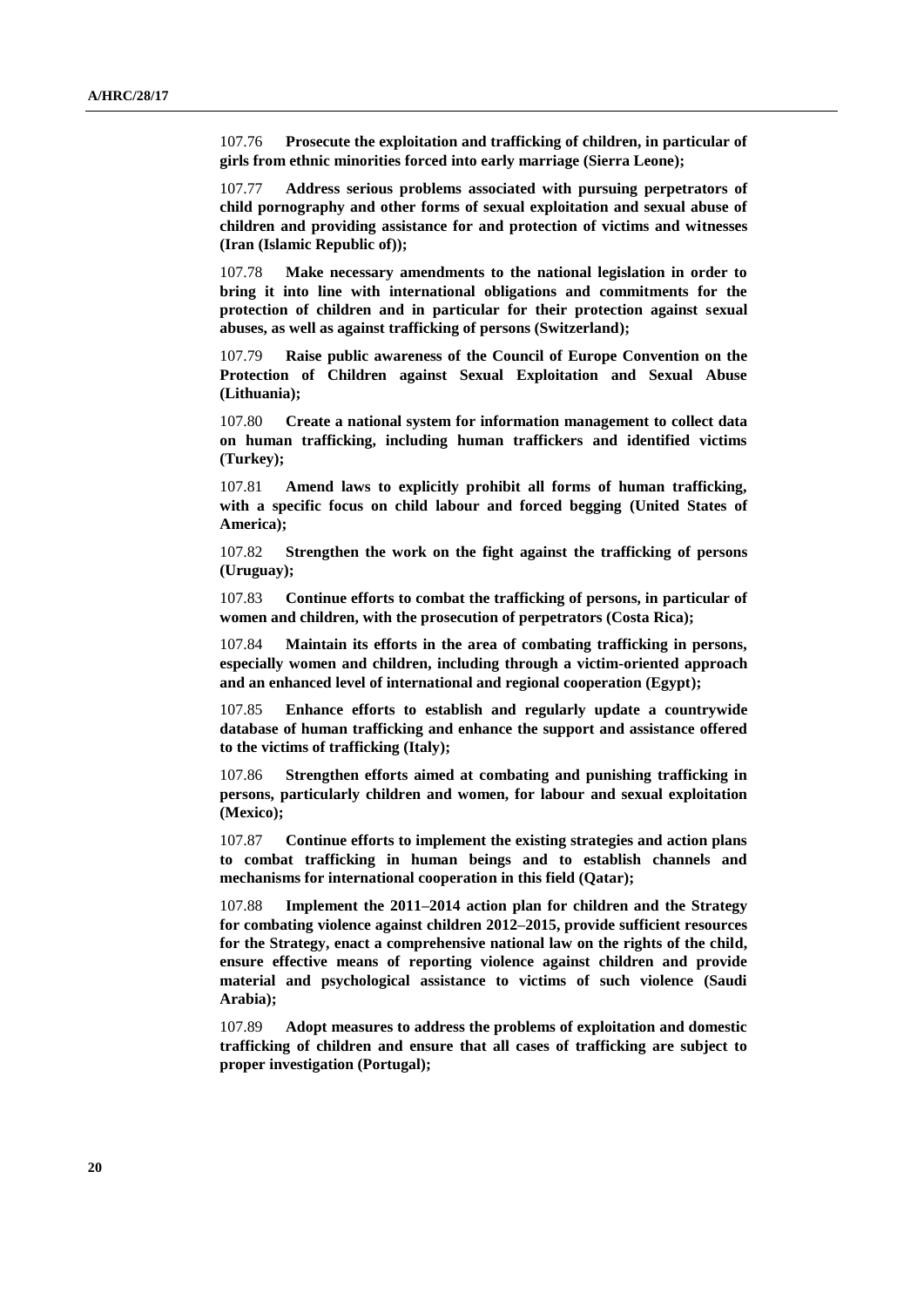107.76 **Prosecute the exploitation and trafficking of children, in particular of girls from ethnic minorities forced into early marriage (Sierra Leone);**

107.77 **Address serious problems associated with pursuing perpetrators of child pornography and other forms of sexual exploitation and sexual abuse of children and providing assistance for and protection of victims and witnesses (Iran (Islamic Republic of));**

107.78 **Make necessary amendments to the national legislation in order to bring it into line with international obligations and commitments for the protection of children and in particular for their protection against sexual abuses, as well as against trafficking of persons (Switzerland);**

107.79 **Raise public awareness of the Council of Europe Convention on the Protection of Children against Sexual Exploitation and Sexual Abuse (Lithuania);**

107.80 **Create a national system for information management to collect data on human trafficking, including human traffickers and identified victims (Turkey);**

107.81 **Amend laws to explicitly prohibit all forms of human trafficking, with a specific focus on child labour and forced begging (United States of America);**

107.82 **Strengthen the work on the fight against the trafficking of persons (Uruguay);**

107.83 **Continue efforts to combat the trafficking of persons, in particular of women and children, with the prosecution of perpetrators (Costa Rica);**

107.84 **Maintain its efforts in the area of combating trafficking in persons, especially women and children, including through a victim-oriented approach and an enhanced level of international and regional cooperation (Egypt);**

107.85 **Enhance efforts to establish and regularly update a countrywide database of human trafficking and enhance the support and assistance offered to the victims of trafficking (Italy);**

107.86 **Strengthen efforts aimed at combating and punishing trafficking in persons, particularly children and women, for labour and sexual exploitation (Mexico);**

107.87 **Continue efforts to implement the existing strategies and action plans to combat trafficking in human beings and to establish channels and mechanisms for international cooperation in this field (Qatar);**

107.88 **Implement the 2011–2014 action plan for children and the Strategy for combating violence against children 2012–2015, provide sufficient resources for the Strategy, enact a comprehensive national law on the rights of the child, ensure effective means of reporting violence against children and provide material and psychological assistance to victims of such violence (Saudi Arabia);**

107.89 **Adopt measures to address the problems of exploitation and domestic trafficking of children and ensure that all cases of trafficking are subject to proper investigation (Portugal);**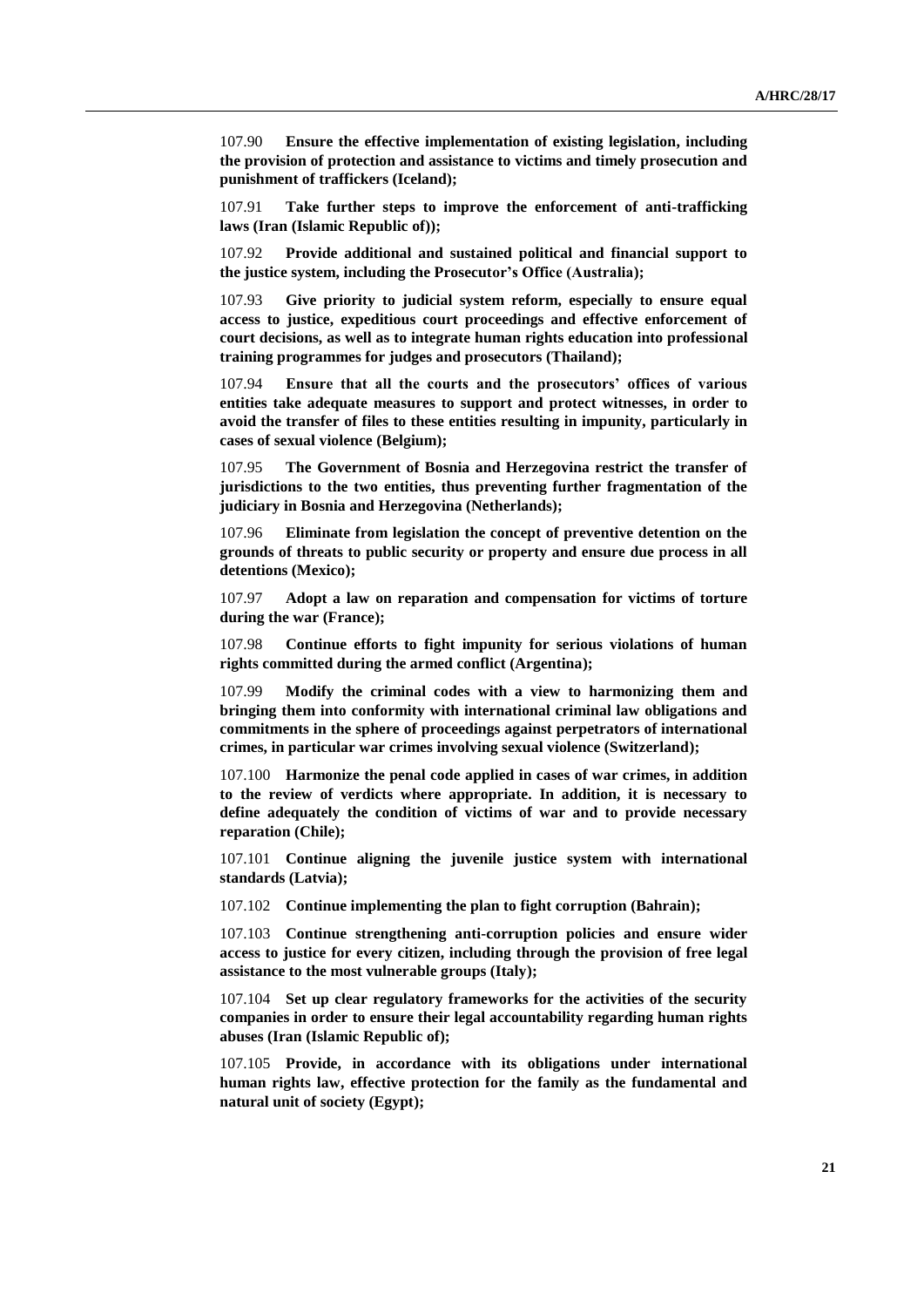107.90 **Ensure the effective implementation of existing legislation, including the provision of protection and assistance to victims and timely prosecution and punishment of traffickers (Iceland);**

107.91 **Take further steps to improve the enforcement of anti-trafficking laws (Iran (Islamic Republic of));**

107.92 **Provide additional and sustained political and financial support to the justice system, including the Prosecutor's Office (Australia);**

107.93 **Give priority to judicial system reform, especially to ensure equal access to justice, expeditious court proceedings and effective enforcement of court decisions, as well as to integrate human rights education into professional training programmes for judges and prosecutors (Thailand);**

107.94 **Ensure that all the courts and the prosecutors' offices of various entities take adequate measures to support and protect witnesses, in order to avoid the transfer of files to these entities resulting in impunity, particularly in cases of sexual violence (Belgium);**

107.95 **The Government of Bosnia and Herzegovina restrict the transfer of jurisdictions to the two entities, thus preventing further fragmentation of the judiciary in Bosnia and Herzegovina (Netherlands);**

107.96 **Eliminate from legislation the concept of preventive detention on the grounds of threats to public security or property and ensure due process in all detentions (Mexico);**

107.97 **Adopt a law on reparation and compensation for victims of torture during the war (France);**

107.98 **Continue efforts to fight impunity for serious violations of human rights committed during the armed conflict (Argentina);**

107.99 **Modify the criminal codes with a view to harmonizing them and bringing them into conformity with international criminal law obligations and commitments in the sphere of proceedings against perpetrators of international crimes, in particular war crimes involving sexual violence (Switzerland);**

107.100 **Harmonize the penal code applied in cases of war crimes, in addition to the review of verdicts where appropriate. In addition, it is necessary to define adequately the condition of victims of war and to provide necessary reparation (Chile);**

107.101 **Continue aligning the juvenile justice system with international standards (Latvia);**

107.102 **Continue implementing the plan to fight corruption (Bahrain);**

107.103 **Continue strengthening anti-corruption policies and ensure wider access to justice for every citizen, including through the provision of free legal assistance to the most vulnerable groups (Italy);**

107.104 **Set up clear regulatory frameworks for the activities of the security companies in order to ensure their legal accountability regarding human rights abuses (Iran (Islamic Republic of);**

107.105 **Provide, in accordance with its obligations under international human rights law, effective protection for the family as the fundamental and natural unit of society (Egypt);**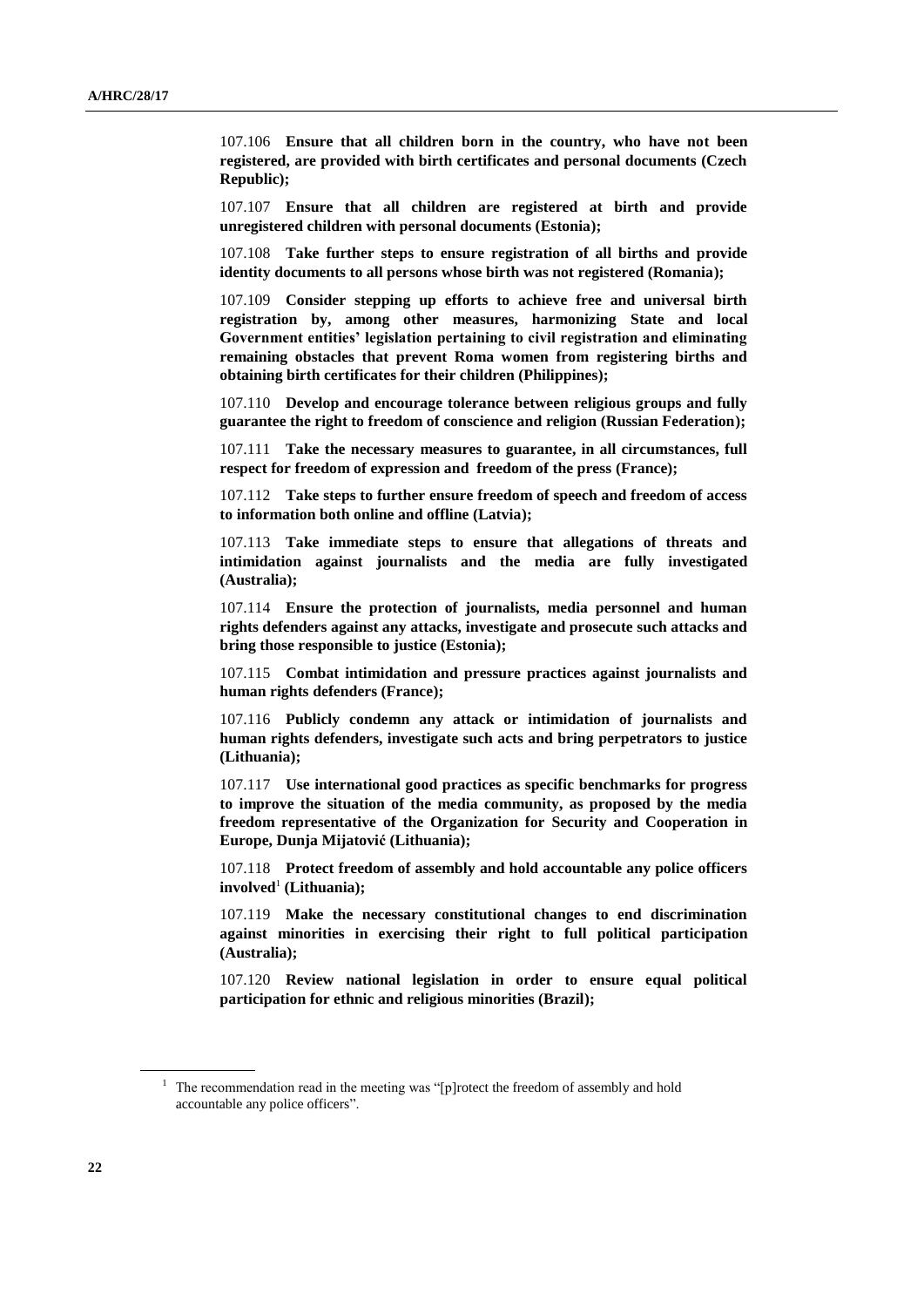107.106 **Ensure that all children born in the country, who have not been registered, are provided with birth certificates and personal documents (Czech Republic);**

107.107 **Ensure that all children are registered at birth and provide unregistered children with personal documents (Estonia);**

107.108 **Take further steps to ensure registration of all births and provide identity documents to all persons whose birth was not registered (Romania);**

107.109 **Consider stepping up efforts to achieve free and universal birth registration by, among other measures, harmonizing State and local Government entities' legislation pertaining to civil registration and eliminating remaining obstacles that prevent Roma women from registering births and obtaining birth certificates for their children (Philippines);**

107.110 **Develop and encourage tolerance between religious groups and fully guarantee the right to freedom of conscience and religion (Russian Federation);**

107.111 **Take the necessary measures to guarantee, in all circumstances, full respect for freedom of expression and freedom of the press (France);**

107.112 **Take steps to further ensure freedom of speech and freedom of access to information both online and offline (Latvia);**

107.113 **Take immediate steps to ensure that allegations of threats and intimidation against journalists and the media are fully investigated (Australia);**

107.114 **Ensure the protection of journalists, media personnel and human rights defenders against any attacks, investigate and prosecute such attacks and bring those responsible to justice (Estonia);**

107.115 **Combat intimidation and pressure practices against journalists and human rights defenders (France);**

107.116 **Publicly condemn any attack or intimidation of journalists and human rights defenders, investigate such acts and bring perpetrators to justice (Lithuania);**

107.117 **Use international good practices as specific benchmarks for progress to improve the situation of the media community, as proposed by the media freedom representative of the Organization for Security and Cooperation in Europe, Dunja Mijatović (Lithuania);**

107.118 **Protect freedom of assembly and hold accountable any police officers involved**<sup>1</sup> **(Lithuania);**

107.119 **Make the necessary constitutional changes to end discrimination against minorities in exercising their right to full political participation (Australia);**

107.120 **Review national legislation in order to ensure equal political participation for ethnic and religious minorities (Brazil);**

 $1$  The recommendation read in the meeting was "[p]rotect the freedom of assembly and hold accountable any police officers".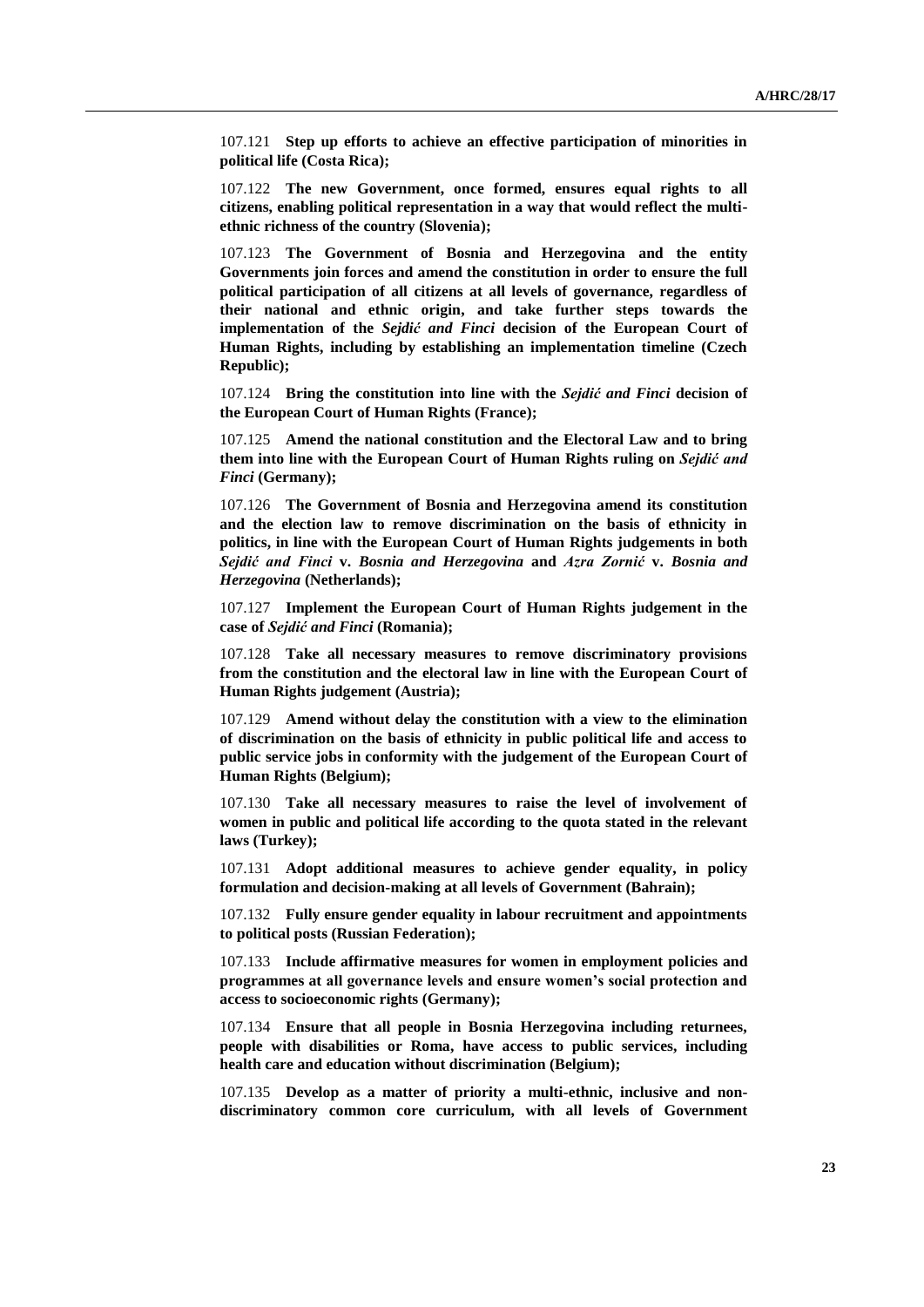107.121 **Step up efforts to achieve an effective participation of minorities in political life (Costa Rica);**

107.122 **The new Government, once formed, ensures equal rights to all citizens, enabling political representation in a way that would reflect the multiethnic richness of the country (Slovenia);**

107.123 **The Government of Bosnia and Herzegovina and the entity Governments join forces and amend the constitution in order to ensure the full political participation of all citizens at all levels of governance, regardless of their national and ethnic origin, and take further steps towards the implementation of the** *Sejdić and Finci* **decision of the European Court of Human Rights, including by establishing an implementation timeline (Czech Republic);**

107.124 **Bring the constitution into line with the** *Sejdić and Finci* **decision of the European Court of Human Rights (France);**

107.125 **Amend the national constitution and the Electoral Law and to bring them into line with the European Court of Human Rights ruling on** *Sejdić and Finci* **(Germany);**

107.126 **The Government of Bosnia and Herzegovina amend its constitution and the election law to remove discrimination on the basis of ethnicity in politics, in line with the European Court of Human Rights judgements in both**  *Sejdić and Finci* **v.** *Bosnia and Herzegovina* **and** *Azra Zornić* **v.** *Bosnia and Herzegovina* **(Netherlands);**

107.127 **Implement the European Court of Human Rights judgement in the case of** *Sejdić and Finci* **(Romania);**

107.128 **Take all necessary measures to remove discriminatory provisions from the constitution and the electoral law in line with the European Court of Human Rights judgement (Austria);**

107.129 **Amend without delay the constitution with a view to the elimination of discrimination on the basis of ethnicity in public political life and access to public service jobs in conformity with the judgement of the European Court of Human Rights (Belgium);**

107.130 **Take all necessary measures to raise the level of involvement of women in public and political life according to the quota stated in the relevant laws (Turkey);**

107.131 **Adopt additional measures to achieve gender equality, in policy formulation and decision-making at all levels of Government (Bahrain);**

107.132 **Fully ensure gender equality in labour recruitment and appointments to political posts (Russian Federation);**

107.133 **Include affirmative measures for women in employment policies and programmes at all governance levels and ensure women's social protection and access to socioeconomic rights (Germany);**

107.134 **Ensure that all people in Bosnia Herzegovina including returnees, people with disabilities or Roma, have access to public services, including health care and education without discrimination (Belgium);**

107.135 **Develop as a matter of priority a multi-ethnic, inclusive and nondiscriminatory common core curriculum, with all levels of Government**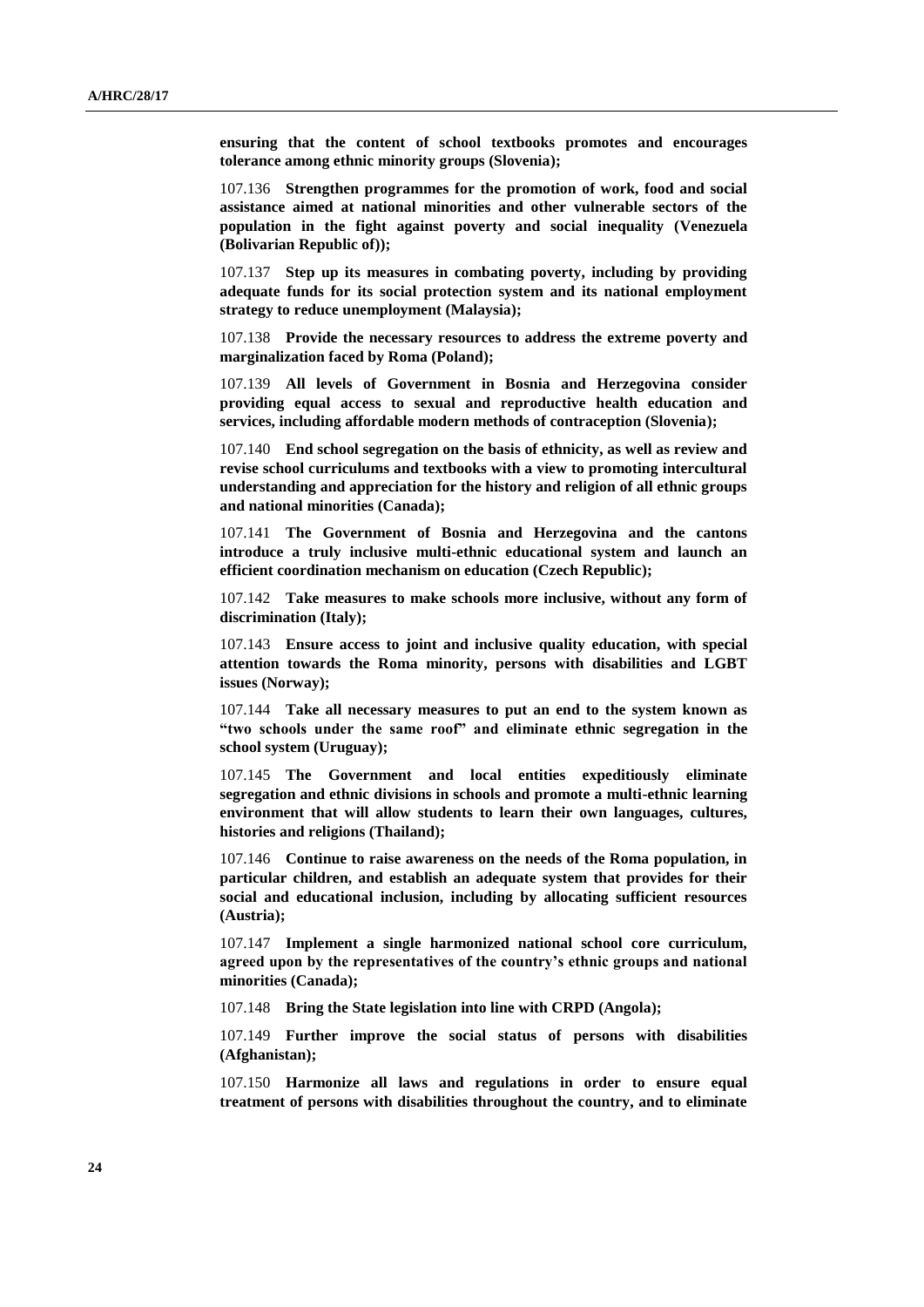**ensuring that the content of school textbooks promotes and encourages tolerance among ethnic minority groups (Slovenia);**

107.136 **Strengthen programmes for the promotion of work, food and social assistance aimed at national minorities and other vulnerable sectors of the population in the fight against poverty and social inequality (Venezuela (Bolivarian Republic of));**

107.137 **Step up its measures in combating poverty, including by providing adequate funds for its social protection system and its national employment strategy to reduce unemployment (Malaysia);**

107.138 **Provide the necessary resources to address the extreme poverty and marginalization faced by Roma (Poland);**

107.139 **All levels of Government in Bosnia and Herzegovina consider providing equal access to sexual and reproductive health education and services, including affordable modern methods of contraception (Slovenia);**

107.140 **End school segregation on the basis of ethnicity, as well as review and revise school curriculums and textbooks with a view to promoting intercultural understanding and appreciation for the history and religion of all ethnic groups and national minorities (Canada);**

107.141 **The Government of Bosnia and Herzegovina and the cantons introduce a truly inclusive multi-ethnic educational system and launch an efficient coordination mechanism on education (Czech Republic);**

107.142 **Take measures to make schools more inclusive, without any form of discrimination (Italy);**

107.143 **Ensure access to joint and inclusive quality education, with special attention towards the Roma minority, persons with disabilities and LGBT issues (Norway);**

107.144 **Take all necessary measures to put an end to the system known as "two schools under the same roof" and eliminate ethnic segregation in the school system (Uruguay);**

107.145 **The Government and local entities expeditiously eliminate segregation and ethnic divisions in schools and promote a multi-ethnic learning environment that will allow students to learn their own languages, cultures, histories and religions (Thailand);**

107.146 **Continue to raise awareness on the needs of the Roma population, in particular children, and establish an adequate system that provides for their social and educational inclusion, including by allocating sufficient resources (Austria);**

107.147 **Implement a single harmonized national school core curriculum, agreed upon by the representatives of the country's ethnic groups and national minorities (Canada);**

107.148 **Bring the State legislation into line with CRPD (Angola);**

107.149 **Further improve the social status of persons with disabilities (Afghanistan);**

107.150 **Harmonize all laws and regulations in order to ensure equal treatment of persons with disabilities throughout the country, and to eliminate**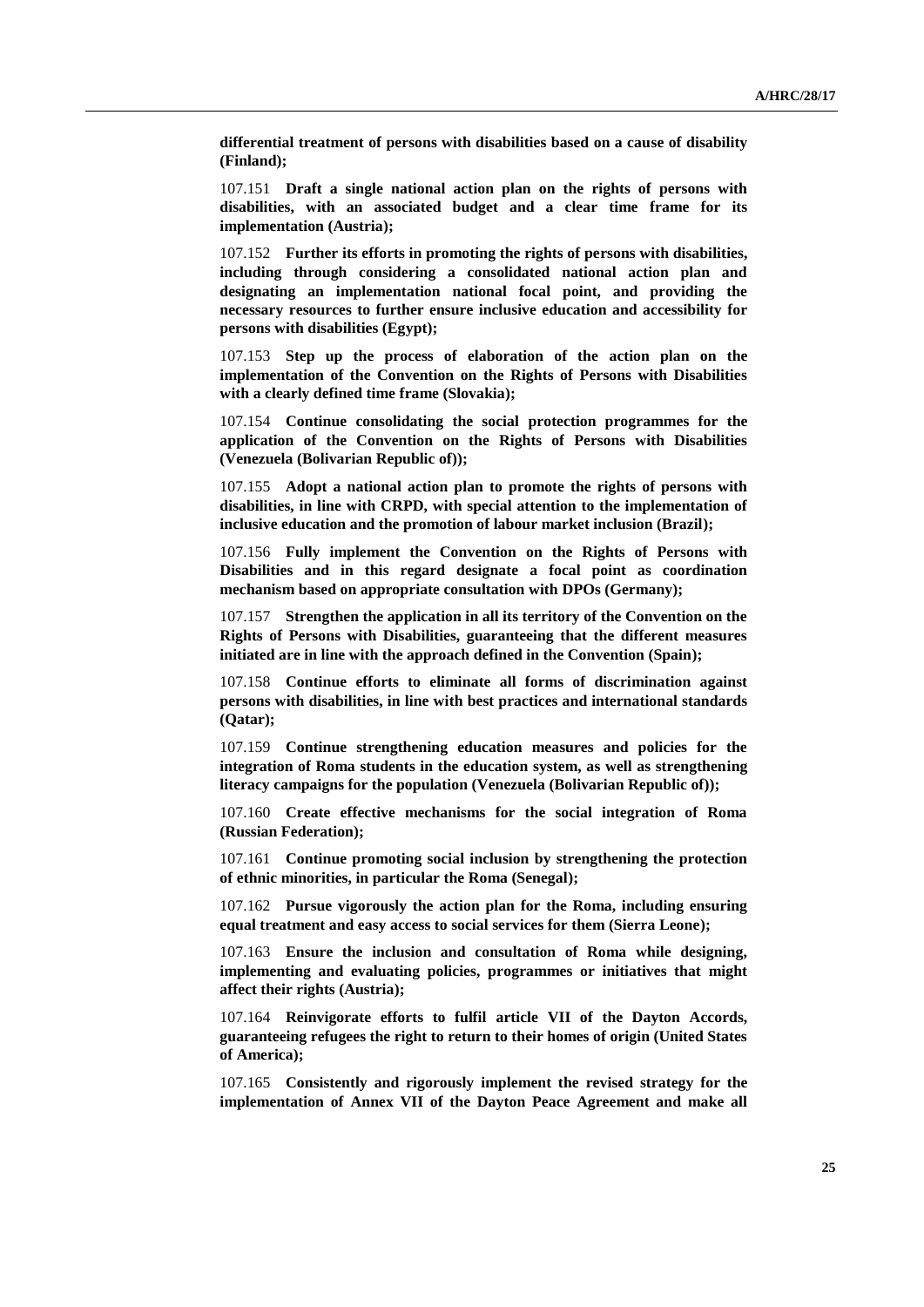**differential treatment of persons with disabilities based on a cause of disability (Finland);**

107.151 **Draft a single national action plan on the rights of persons with disabilities, with an associated budget and a clear time frame for its implementation (Austria);**

107.152 **Further its efforts in promoting the rights of persons with disabilities, including through considering a consolidated national action plan and designating an implementation national focal point, and providing the necessary resources to further ensure inclusive education and accessibility for persons with disabilities (Egypt);**

107.153 **Step up the process of elaboration of the action plan on the implementation of the Convention on the Rights of Persons with Disabilities with a clearly defined time frame (Slovakia);**

107.154 **Continue consolidating the social protection programmes for the application of the Convention on the Rights of Persons with Disabilities (Venezuela (Bolivarian Republic of));**

107.155 **Adopt a national action plan to promote the rights of persons with disabilities, in line with CRPD, with special attention to the implementation of inclusive education and the promotion of labour market inclusion (Brazil);**

107.156 **Fully implement the Convention on the Rights of Persons with Disabilities and in this regard designate a focal point as coordination mechanism based on appropriate consultation with DPOs (Germany);**

107.157 **Strengthen the application in all its territory of the Convention on the Rights of Persons with Disabilities, guaranteeing that the different measures initiated are in line with the approach defined in the Convention (Spain);**

107.158 **Continue efforts to eliminate all forms of discrimination against persons with disabilities, in line with best practices and international standards (Qatar);**

107.159 **Continue strengthening education measures and policies for the integration of Roma students in the education system, as well as strengthening literacy campaigns for the population (Venezuela (Bolivarian Republic of));**

107.160 **Create effective mechanisms for the social integration of Roma (Russian Federation);**

107.161 **Continue promoting social inclusion by strengthening the protection of ethnic minorities, in particular the Roma (Senegal);**

107.162 **Pursue vigorously the action plan for the Roma, including ensuring equal treatment and easy access to social services for them (Sierra Leone);**

107.163 **Ensure the inclusion and consultation of Roma while designing, implementing and evaluating policies, programmes or initiatives that might affect their rights (Austria);**

107.164 **Reinvigorate efforts to fulfil article VII of the Dayton Accords, guaranteeing refugees the right to return to their homes of origin (United States of America);**

107.165 **Consistently and rigorously implement the revised strategy for the implementation of Annex VII of the Dayton Peace Agreement and make all**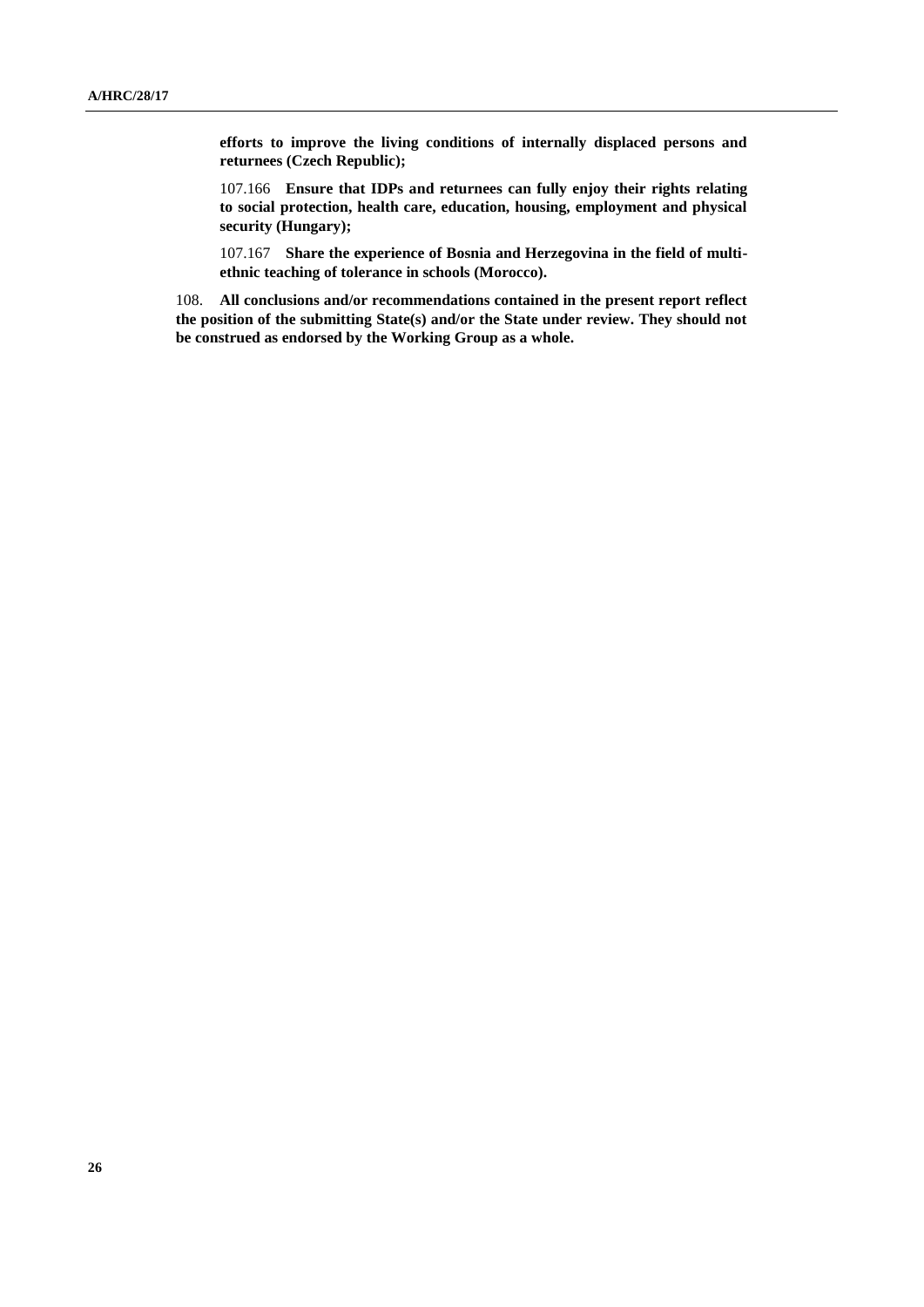**efforts to improve the living conditions of internally displaced persons and returnees (Czech Republic);**

107.166 **Ensure that IDPs and returnees can fully enjoy their rights relating to social protection, health care, education, housing, employment and physical security (Hungary);**

107.167 **Share the experience of Bosnia and Herzegovina in the field of multiethnic teaching of tolerance in schools (Morocco).**

108. **All conclusions and/or recommendations contained in the present report reflect the position of the submitting State(s) and/or the State under review. They should not be construed as endorsed by the Working Group as a whole.**